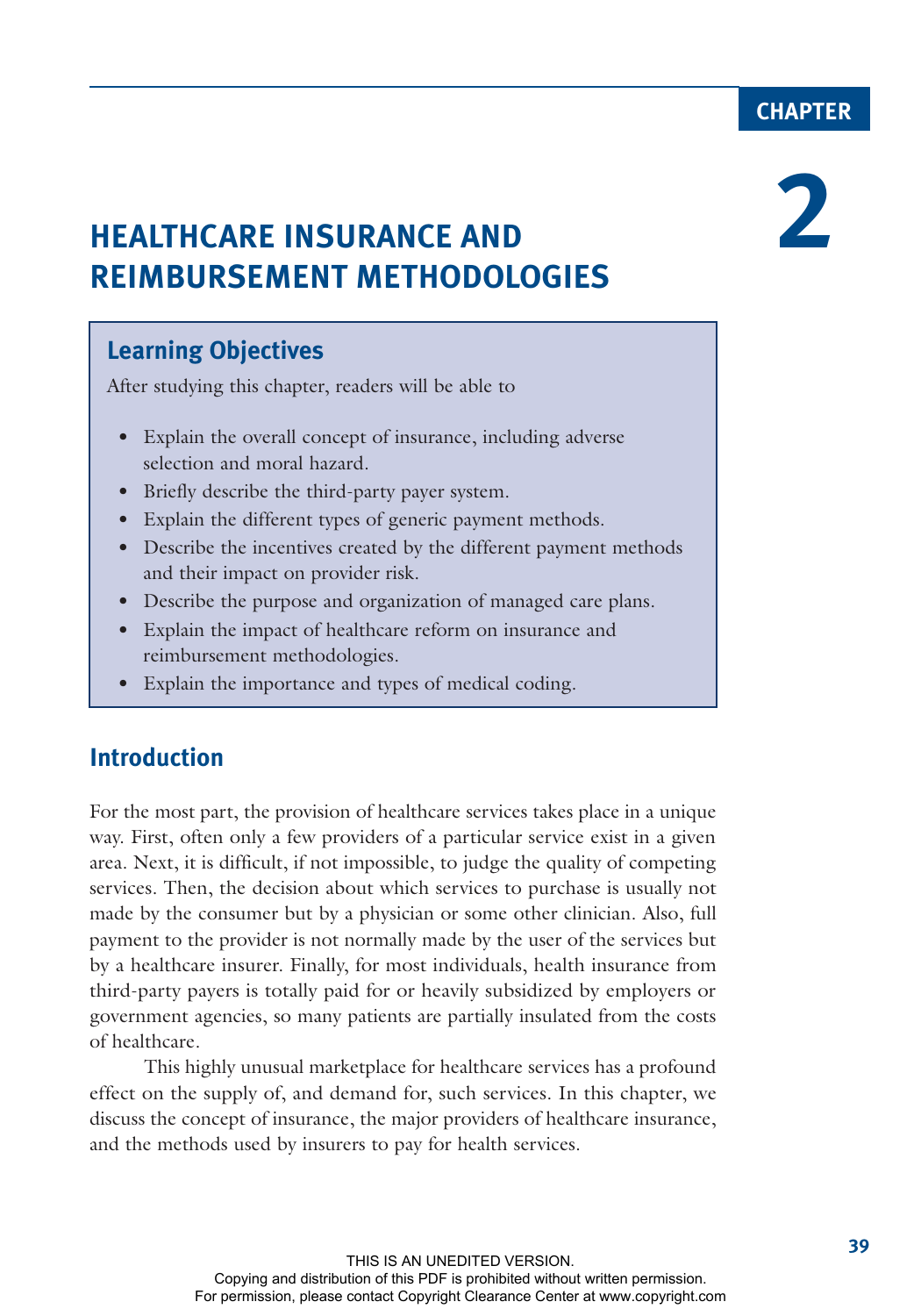## **CHAPTER**

# **2**

## **HEALTHCARE INSURANCE AND REIMBURSEMENT METHODOLOGIES**

## **Learning Objectives**

After studying this chapter, readers will be able to

- Explain the overall concept of insurance, including adverse selection and moral hazard.
- Briefly describe the third-party payer system.
- Explain the different types of generic payment methods.
- Describe the incentives created by the different payment methods and their impact on provider risk.
- Describe the purpose and organization of managed care plans.
- Explain the impact of healthcare reform on insurance and reimbursement methodologies.
- Explain the importance and types of medical coding.

## **Introduction**

For the most part, the provision of healthcare services takes place in a unique way. First, often only a few providers of a particular service exist in a given area. Next, it is difficult, if not impossible, to judge the quality of competing services. Then, the decision about which services to purchase is usually not made by the consumer but by a physician or some other clinician. Also, full payment to the provider is not normally made by the user of the services but by a healthcare insurer. Finally, for most individuals, health insurance from third-party payers is totally paid for or heavily subsidized by employers or government agencies, so many patients are partially insulated from the costs of healthcare.

This highly unusual marketplace for healthcare services has a profound effect on the supply of, and demand for, such services. In this chapter, we discuss the concept of insurance, the major providers of healthcare insurance, and the methods used by insurers to pay for health services.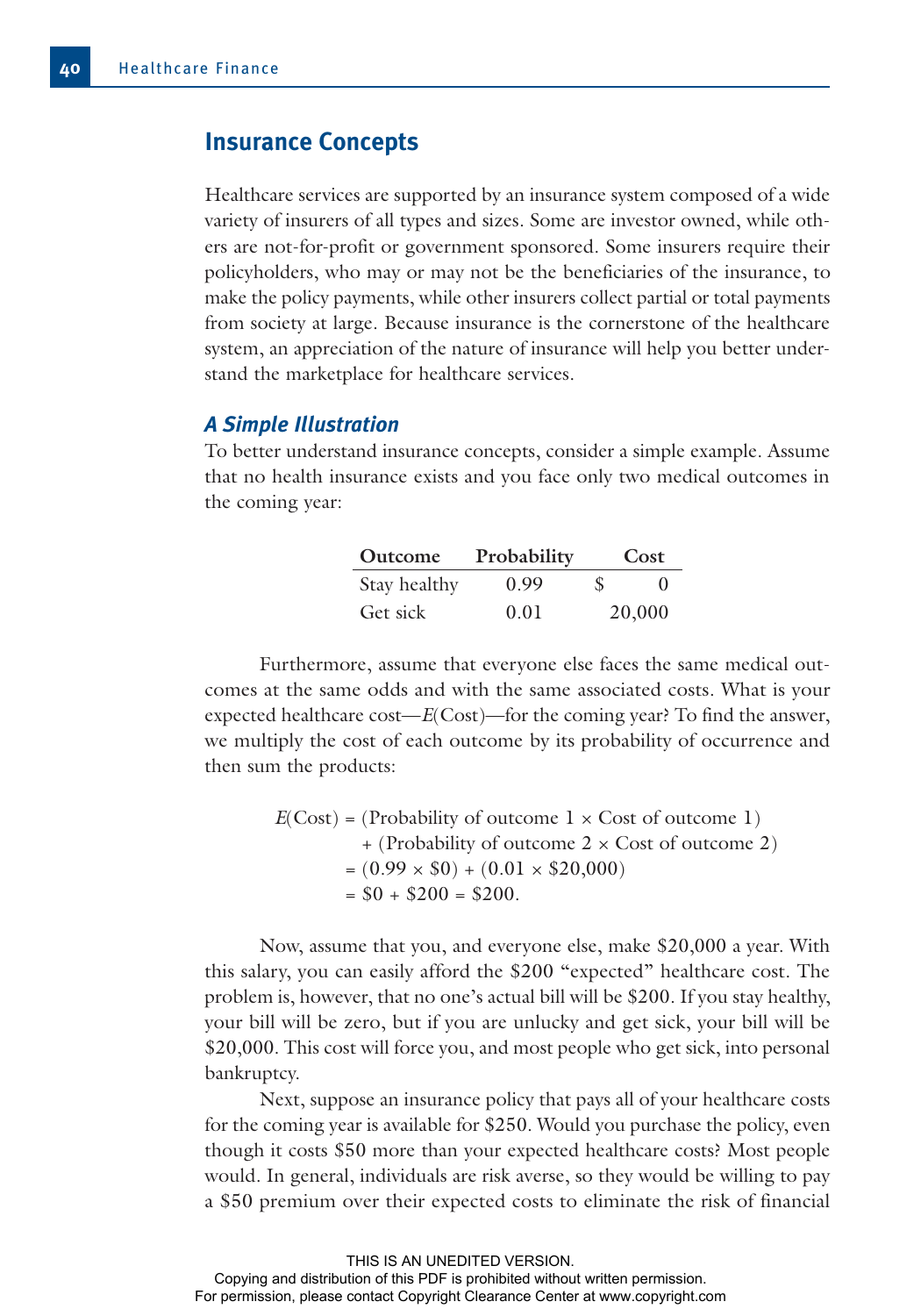## **Insurance Concepts**

Healthcare services are supported by an insurance system composed of a wide variety of insurers of all types and sizes. Some are investor owned, while others are not-for-profit or government sponsored. Some insurers require their policyholders, who may or may not be the beneficiaries of the insurance, to make the policy payments, while other insurers collect partial or total payments from society at large. Because insurance is the cornerstone of the healthcare system, an appreciation of the nature of insurance will help you better understand the marketplace for healthcare services.

## *A Simple Illustration*

To better understand insurance concepts, consider a simple example. Assume that no health insurance exists and you face only two medical outcomes in the coming year:

| <b>Outcome</b> | Probability | Cost     |                   |
|----------------|-------------|----------|-------------------|
| Stay healthy   | 0.99        | <b>S</b> | $\mathbf{\Omega}$ |
| Get sick       | 0.01        | 20,000   |                   |

Furthermore, assume that everyone else faces the same medical outcomes at the same odds and with the same associated costs. What is your expected healthcare cost—*E*(Cost)—for the coming year? To find the answer, we multiply the cost of each outcome by its probability of occurrence and then sum the products:

> $E(Cost) = (Probability of outcome 1 \times Cost of outcome 1)$  $+$  (Probability of outcome 2  $\times$  Cost of outcome 2)  $=(0.99 \times $0) + (0.01 \times $20,000)$  $= $0 + $200 = $200.$

Now, assume that you, and everyone else, make \$20,000 a year. With this salary, you can easily afford the \$200 "expected" healthcare cost. The problem is, however, that no one's actual bill will be \$200. If you stay healthy, your bill will be zero, but if you are unlucky and get sick, your bill will be \$20,000. This cost will force you, and most people who get sick, into personal bankruptcy.

Next, suppose an insurance policy that pays all of your healthcare costs for the coming year is available for \$250. Would you purchase the policy, even though it costs \$50 more than your expected healthcare costs? Most people would. In general, individuals are risk averse, so they would be willing to pay a \$50 premium over their expected costs to eliminate the risk of financial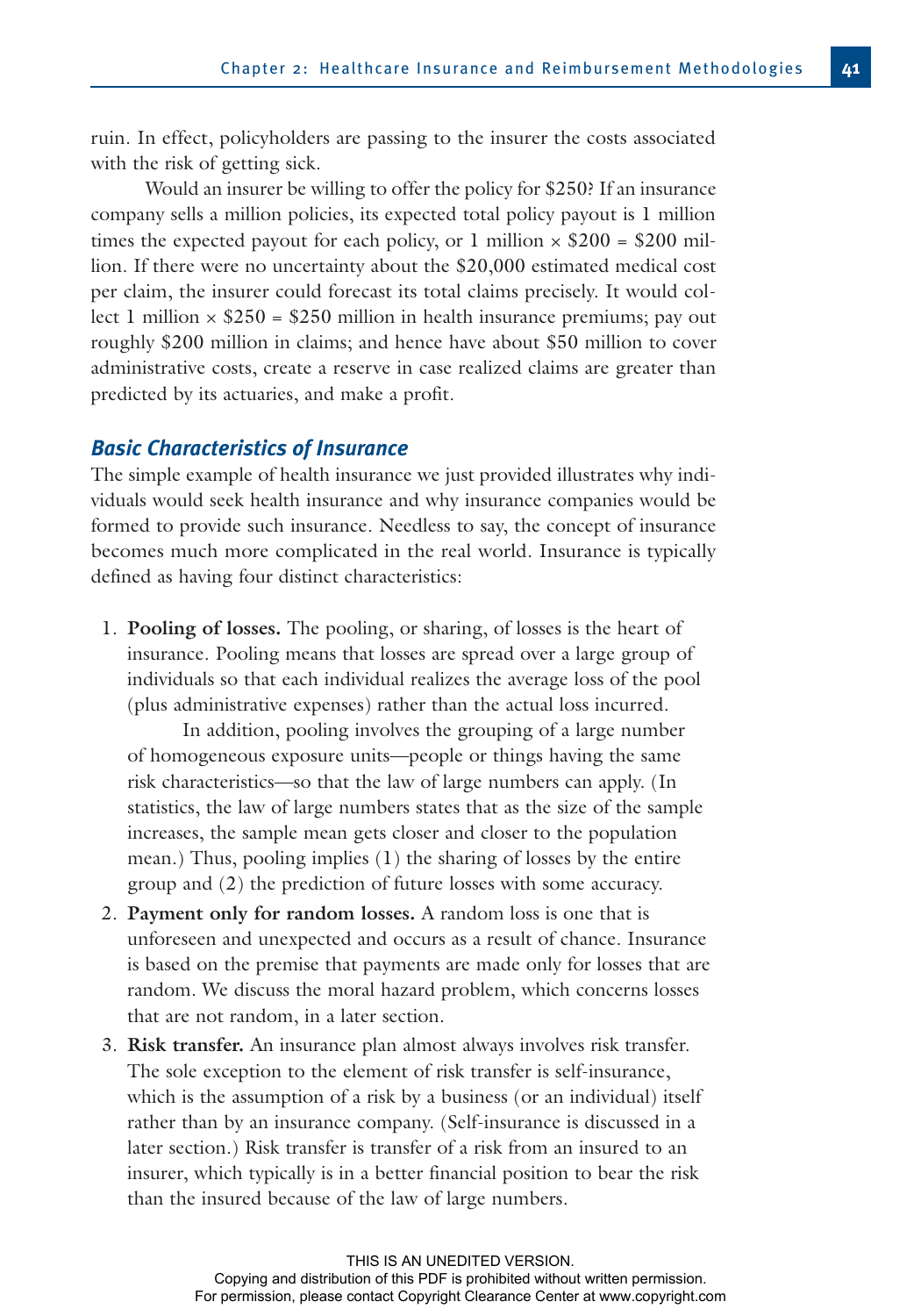ruin. In effect, policyholders are passing to the insurer the costs associated with the risk of getting sick.

Would an insurer be willing to offer the policy for \$250? If an insurance company sells a million policies, its expected total policy payout is 1 million times the expected payout for each policy, or 1 million  $\times$  \$200 = \$200 million. If there were no uncertainty about the \$20,000 estimated medical cost per claim, the insurer could forecast its total claims precisely. It would collect 1 million  $\times$  \$250 = \$250 million in health insurance premiums; pay out roughly \$200 million in claims; and hence have about \$50 million to cover administrative costs, create a reserve in case realized claims are greater than predicted by its actuaries, and make a profit.

## *Basic Characteristics of Insurance*

The simple example of health insurance we just provided illustrates why individuals would seek health insurance and why insurance companies would be formed to provide such insurance. Needless to say, the concept of insurance becomes much more complicated in the real world. Insurance is typically defined as having four distinct characteristics:

1. **Pooling of losses.** The pooling, or sharing, of losses is the heart of insurance. Pooling means that losses are spread over a large group of individuals so that each individual realizes the average loss of the pool (plus administrative expenses) rather than the actual loss incurred.

In addition, pooling involves the grouping of a large number of homogeneous exposure units—people or things having the same risk characteristics—so that the law of large numbers can apply. (In statistics, the law of large numbers states that as the size of the sample increases, the sample mean gets closer and closer to the population mean.) Thus, pooling implies (1) the sharing of losses by the entire group and (2) the prediction of future losses with some accuracy.

- 2. **Payment only for random losses.** A random loss is one that is unforeseen and unexpected and occurs as a result of chance. Insurance is based on the premise that payments are made only for losses that are random. We discuss the moral hazard problem, which concerns losses that are not random, in a later section.
- 3. **Risk transfer.** An insurance plan almost always involves risk transfer. The sole exception to the element of risk transfer is self-insurance, which is the assumption of a risk by a business (or an individual) itself rather than by an insurance company. (Self-insurance is discussed in a later section.) Risk transfer is transfer of a risk from an insured to an insurer, which typically is in a better financial position to bear the risk than the insured because of the law of large numbers.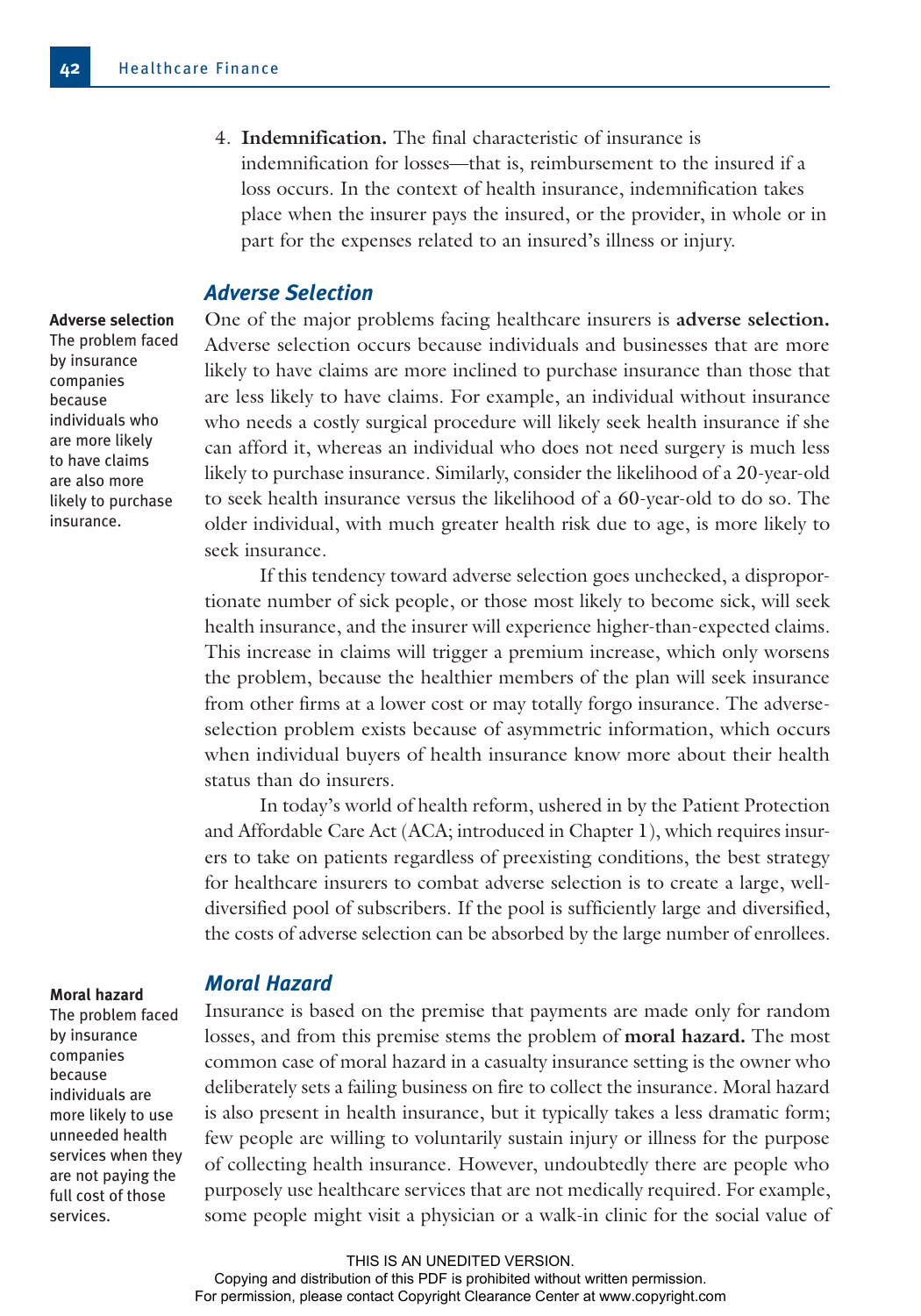4. **Indemnification.** The final characteristic of insurance is indemnification for losses—that is, reimbursement to the insured if a loss occurs. In the context of health insurance, indemnification takes place when the insurer pays the insured, or the provider, in whole or in part for the expenses related to an insured's illness or injury.

## *Adverse Selection*

One of the major problems facing healthcare insurers is **adverse selection.** Adverse selection occurs because individuals and businesses that are more likely to have claims are more inclined to purchase insurance than those that are less likely to have claims. For example, an individual without insurance who needs a costly surgical procedure will likely seek health insurance if she can afford it, whereas an individual who does not need surgery is much less likely to purchase insurance. Similarly, consider the likelihood of a 20-year-old to seek health insurance versus the likelihood of a 60-year-old to do so. The older individual, with much greater health risk due to age, is more likely to seek insurance.

If this tendency toward adverse selection goes unchecked, a disproportionate number of sick people, or those most likely to become sick, will seek health insurance, and the insurer will experience higher-than-expected claims. This increase in claims will trigger a premium increase, which only worsens the problem, because the healthier members of the plan will seek insurance from other firms at a lower cost or may totally forgo insurance. The adverseselection problem exists because of asymmetric information, which occurs when individual buyers of health insurance know more about their health status than do insurers.

In today's world of health reform, ushered in by the Patient Protection and Affordable Care Act (ACA; introduced in Chapter 1), which requires insurers to take on patients regardless of preexisting conditions, the best strategy for healthcare insurers to combat adverse selection is to create a large, welldiversified pool of subscribers. If the pool is sufficiently large and diversified, the costs of adverse selection can be absorbed by the large number of enrollees.

#### *Moral Hazard*

Insurance is based on the premise that payments are made only for random losses, and from this premise stems the problem of **moral hazard.** The most common case of moral hazard in a casualty insurance setting is the owner who deliberately sets a failing business on fire to collect the insurance. Moral hazard is also present in health insurance, but it typically takes a less dramatic form; few people are willing to voluntarily sustain injury or illness for the purpose of collecting health insurance. However, undoubtedly there are people who purposely use healthcare services that are not medically required. For example, some people might visit a physician or a walk-in clinic for the social value of

The problem faced by insurance companies because individuals who are more likely to have claims are also more likely to purchase insurance.

**Adverse selection**

#### **Moral hazard**

The problem faced by insurance companies because individuals are more likely to use unneeded health services when they are not paying the full cost of those services.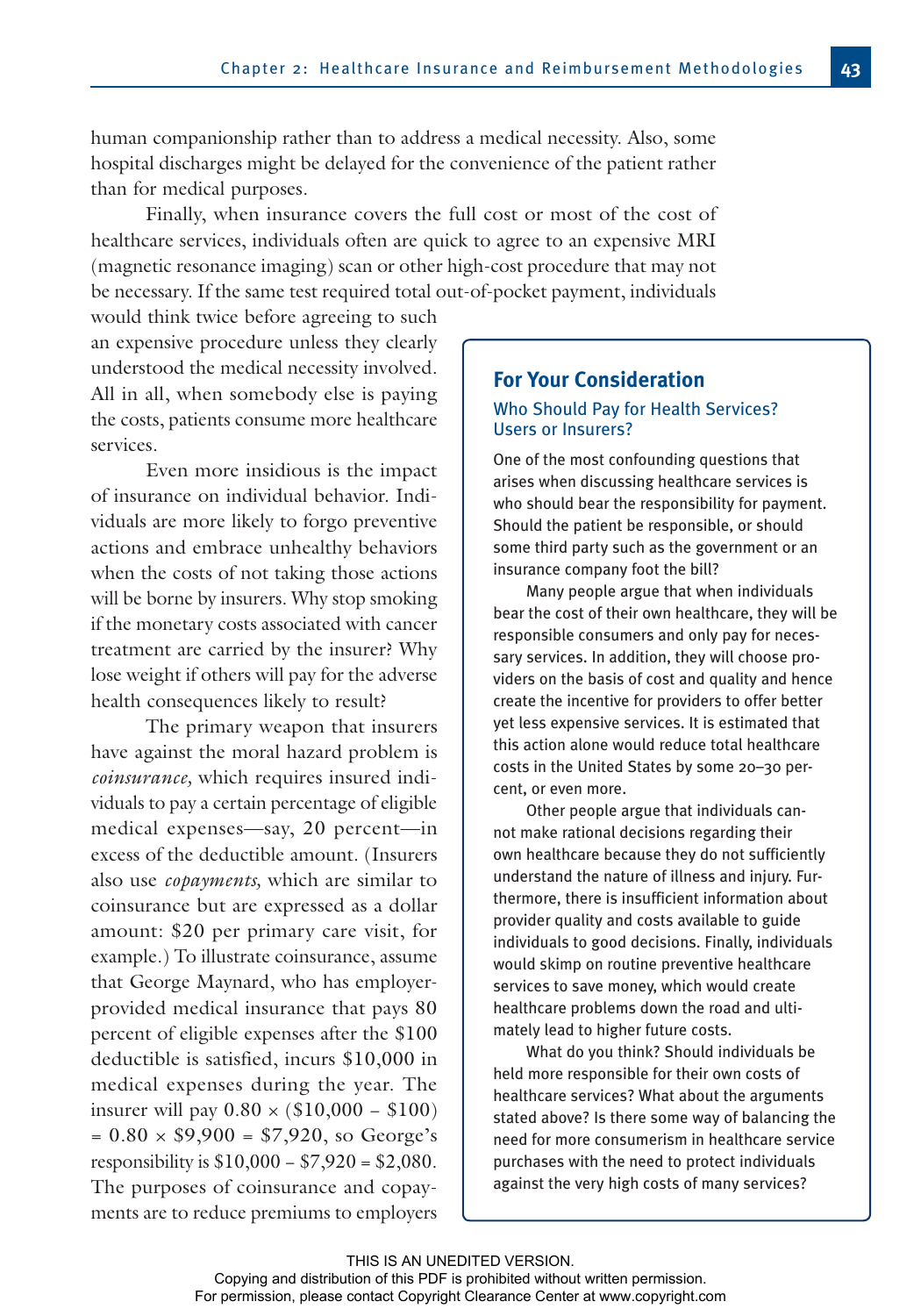human companionship rather than to address a medical necessity. Also, some hospital discharges might be delayed for the convenience of the patient rather than for medical purposes.

Finally, when insurance covers the full cost or most of the cost of healthcare services, individuals often are quick to agree to an expensive MRI (magnetic resonance imaging) scan or other high-cost procedure that may not be necessary. If the same test required total out-of-pocket payment, individuals

would think twice before agreeing to such an expensive procedure unless they clearly understood the medical necessity involved. All in all, when somebody else is paying the costs, patients consume more healthcare services.

Even more insidious is the impact of insurance on individual behavior. Individuals are more likely to forgo preventive actions and embrace unhealthy behaviors when the costs of not taking those actions will be borne by insurers. Why stop smoking if the monetary costs associated with cancer treatment are carried by the insurer? Why lose weight if others will pay for the adverse health consequences likely to result?

The primary weapon that insurers have against the moral hazard problem is *coinsurance,* which requires insured individuals to pay a certain percentage of eligible medical expenses—say, 20 percent—in excess of the deductible amount. (Insurers also use *copayments,* which are similar to coinsurance but are expressed as a dollar amount: \$20 per primary care visit, for example.) To illustrate coinsurance, assume that George Maynard, who has employerprovided medical insurance that pays 80 percent of eligible expenses after the \$100 deductible is satisfied, incurs \$10,000 in medical expenses during the year. The insurer will pay  $0.80 \times (10,000 - 100)$  $= 0.80 \times $9,900 = $7,920$ , so George's responsibility is \$10,000 − \$7,920 = \$2,080. The purposes of coinsurance and copayments are to reduce premiums to employers

## **For Your Consideration**

### Who Should Pay for Health Services? Users or Insurers?

One of the most confounding questions that arises when discussing healthcare services is who should bear the responsibility for payment. Should the patient be responsible, or should some third party such as the government or an insurance company foot the bill?

Many people argue that when individuals bear the cost of their own healthcare, they will be responsible consumers and only pay for necessary services. In addition, they will choose providers on the basis of cost and quality and hence create the incentive for providers to offer better yet less expensive services. It is estimated that this action alone would reduce total healthcare costs in the United States by some 20–30 percent, or even more.

Other people argue that individuals cannot make rational decisions regarding their own healthcare because they do not sufficiently understand the nature of illness and injury. Furthermore, there is insufficient information about provider quality and costs available to guide individuals to good decisions. Finally, individuals would skimp on routine preventive healthcare services to save money, which would create healthcare problems down the road and ultimately lead to higher future costs.

What do you think? Should individuals be held more responsible for their own costs of healthcare services? What about the arguments stated above? Is there some way of balancing the need for more consumerism in healthcare service purchases with the need to protect individuals against the very high costs of many services?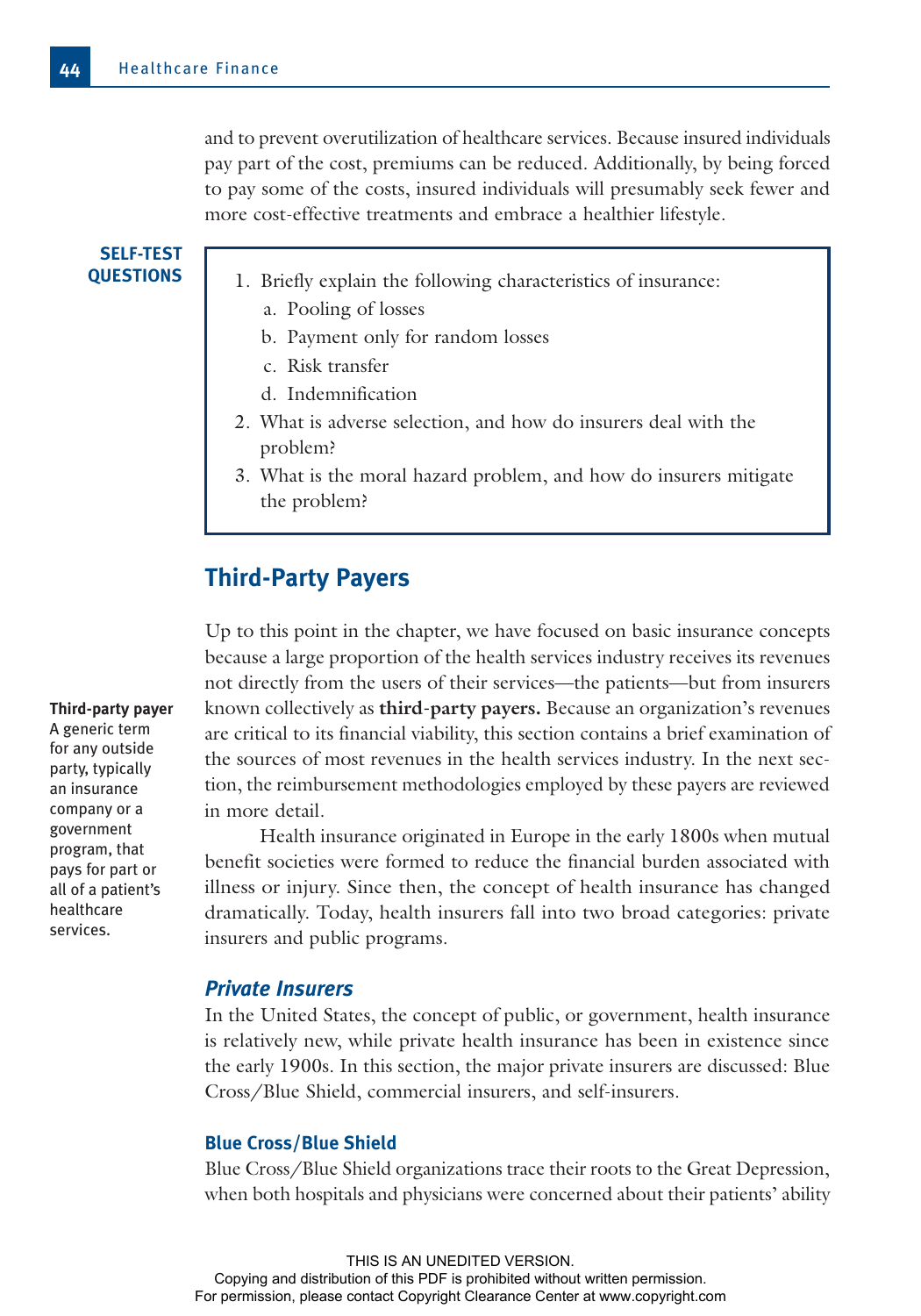and to prevent overutilization of healthcare services. Because insured individuals pay part of the cost, premiums can be reduced. Additionally, by being forced to pay some of the costs, insured individuals will presumably seek fewer and more cost-effective treatments and embrace a healthier lifestyle.

**SELF-TEST QUESTIONS**

- 1. Briefly explain the following characteristics of insurance:
	- a. Pooling of losses
	- b. Payment only for random losses
	- c. Risk transfer
	- d. Indemnification
- 2. What is adverse selection, and how do insurers deal with the problem?
- 3. What is the moral hazard problem, and how do insurers mitigate the problem?

## **Third-Party Payers**

Up to this point in the chapter, we have focused on basic insurance concepts because a large proportion of the health services industry receives its revenues not directly from the users of their services—the patients—but from insurers known collectively as **third-party payers.** Because an organization's revenues are critical to its financial viability, this section contains a brief examination of the sources of most revenues in the health services industry. In the next section, the reimbursement methodologies employed by these payers are reviewed in more detail.

Health insurance originated in Europe in the early 1800s when mutual benefit societies were formed to reduce the financial burden associated with illness or injury. Since then, the concept of health insurance has changed dramatically. Today, health insurers fall into two broad categories: private insurers and public programs.

### *Private Insurers*

In the United States, the concept of public, or government, health insurance is relatively new, while private health insurance has been in existence since the early 1900s. In this section, the major private insurers are discussed: Blue Cross/Blue Shield, commercial insurers, and self-insurers.

#### **Blue Cross/Blue Shield**

Blue Cross/Blue Shield organizations trace their roots to the Great Depression, when both hospitals and physicians were concerned about their patients' ability

**Third-party payer** A generic term for any outside party, typically an insurance company or a government program, that pays for part or all of a patient's healthcare services.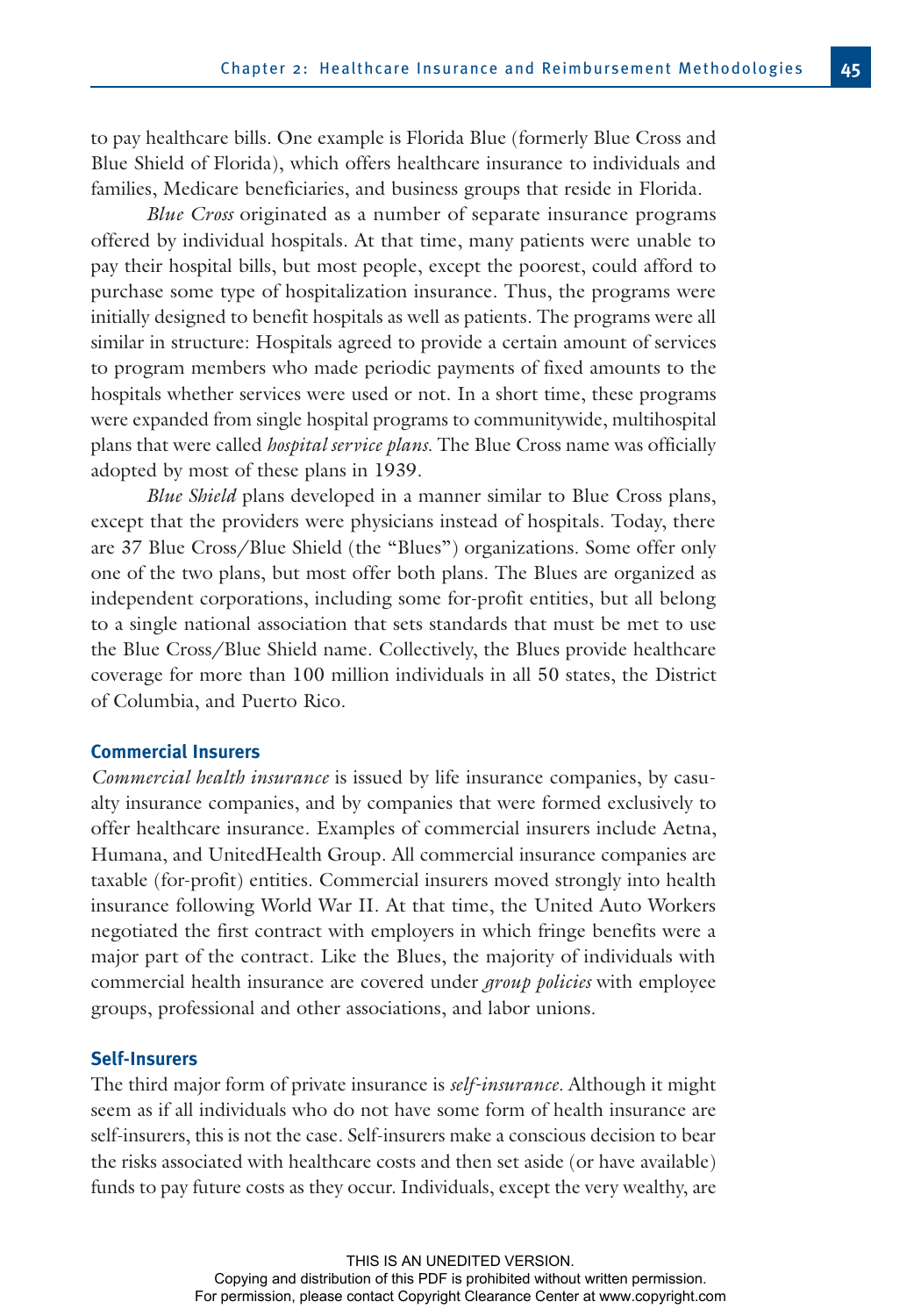to pay healthcare bills. One example is Florida Blue (formerly Blue Cross and Blue Shield of Florida), which offers healthcare insurance to individuals and families, Medicare beneficiaries, and business groups that reside in Florida.

*Blue Cross* originated as a number of separate insurance programs offered by individual hospitals. At that time, many patients were unable to pay their hospital bills, but most people, except the poorest, could afford to purchase some type of hospitalization insurance. Thus, the programs were initially designed to benefit hospitals as well as patients. The programs were all similar in structure: Hospitals agreed to provide a certain amount of services to program members who made periodic payments of fixed amounts to the hospitals whether services were used or not. In a short time, these programs were expanded from single hospital programs to communitywide, multihospital plans that were called *hospital service plans*. The Blue Cross name was officially adopted by most of these plans in 1939.

*Blue Shield* plans developed in a manner similar to Blue Cross plans, except that the providers were physicians instead of hospitals. Today, there are 37 Blue Cross/Blue Shield (the "Blues") organizations. Some offer only one of the two plans, but most offer both plans. The Blues are organized as independent corporations, including some for-profit entities, but all belong to a single national association that sets standards that must be met to use the Blue Cross/Blue Shield name. Collectively, the Blues provide healthcare coverage for more than 100 million individuals in all 50 states, the District of Columbia, and Puerto Rico.

#### **Commercial Insurers**

*Commercial health insurance* is issued by life insurance companies, by casualty insurance companies, and by companies that were formed exclusively to offer healthcare insurance. Examples of commercial insurers include Aetna, Humana, and UnitedHealth Group. All commercial insurance companies are taxable (for-profit) entities. Commercial insurers moved strongly into health insurance following World War II. At that time, the United Auto Workers negotiated the first contract with employers in which fringe benefits were a major part of the contract. Like the Blues, the majority of individuals with commercial health insurance are covered under *group policies* with employee groups, professional and other associations, and labor unions.

## **Self-Insurers**

The third major form of private insurance is *self-insurance.* Although it might seem as if all individuals who do not have some form of health insurance are self-insurers, this is not the case. Self-insurers make a conscious decision to bear the risks associated with healthcare costs and then set aside (or have available) funds to pay future costs as they occur. Individuals, except the very wealthy, are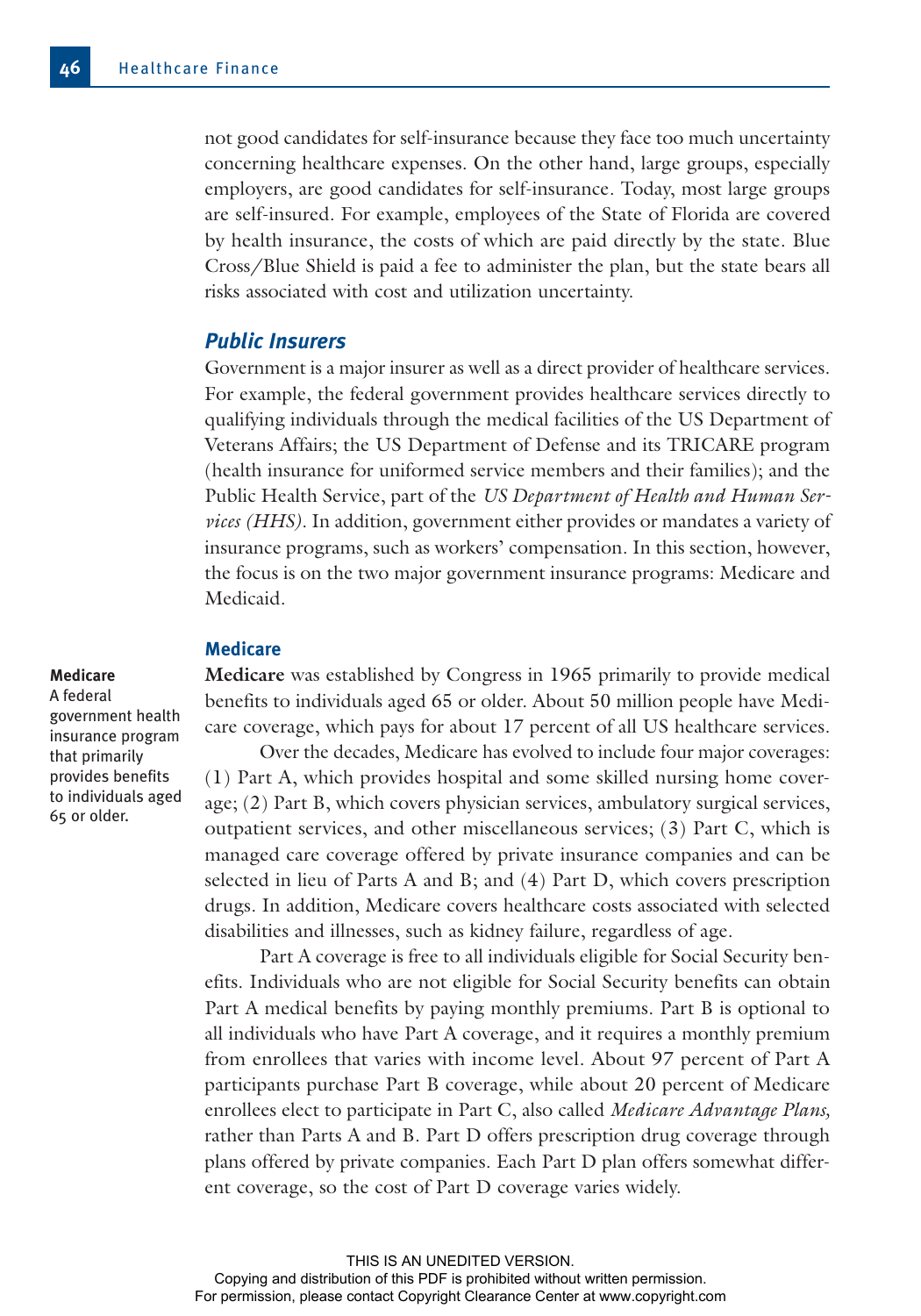not good candidates for self-insurance because they face too much uncertainty concerning healthcare expenses. On the other hand, large groups, especially employers, are good candidates for self-insurance. Today, most large groups are self-insured. For example, employees of the State of Florida are covered by health insurance, the costs of which are paid directly by the state. Blue Cross/Blue Shield is paid a fee to administer the plan, but the state bears all risks associated with cost and utilization uncertainty.

## *Public Insurers*

Government is a major insurer as well as a direct provider of healthcare services. For example, the federal government provides healthcare services directly to qualifying individuals through the medical facilities of the US Department of Veterans Affairs; the US Department of Defense and its TRICARE program (health insurance for uniformed service members and their families); and the Public Health Service, part of the *US Department of Health and Human Services (HHS)*. In addition, government either provides or mandates a variety of insurance programs, such as workers' compensation. In this section, however, the focus is on the two major government insurance programs: Medicare and Medicaid.

#### **Medicare**

## **Medicare** was established by Congress in 1965 primarily to provide medical benefits to individuals aged 65 or older. About 50 million people have Medicare coverage, which pays for about 17 percent of all US healthcare services.

Over the decades, Medicare has evolved to include four major coverages: (1) Part A, which provides hospital and some skilled nursing home coverage; (2) Part B, which covers physician services, ambulatory surgical services, outpatient services, and other miscellaneous services; (3) Part C, which is managed care coverage offered by private insurance companies and can be selected in lieu of Parts A and B; and (4) Part D, which covers prescription drugs. In addition, Medicare covers healthcare costs associated with selected disabilities and illnesses, such as kidney failure, regardless of age.

Part A coverage is free to all individuals eligible for Social Security benefits. Individuals who are not eligible for Social Security benefits can obtain Part A medical benefits by paying monthly premiums. Part B is optional to all individuals who have Part A coverage, and it requires a monthly premium from enrollees that varies with income level. About 97 percent of Part A participants purchase Part B coverage, while about 20 percent of Medicare enrollees elect to participate in Part C, also called *Medicare Advantage Plans,*  rather than Parts A and B. Part D offers prescription drug coverage through plans offered by private companies. Each Part D plan offers somewhat different coverage, so the cost of Part D coverage varies widely.

A federal government health insurance program that primarily provides benefits to individuals aged 65 or older.

**Medicare**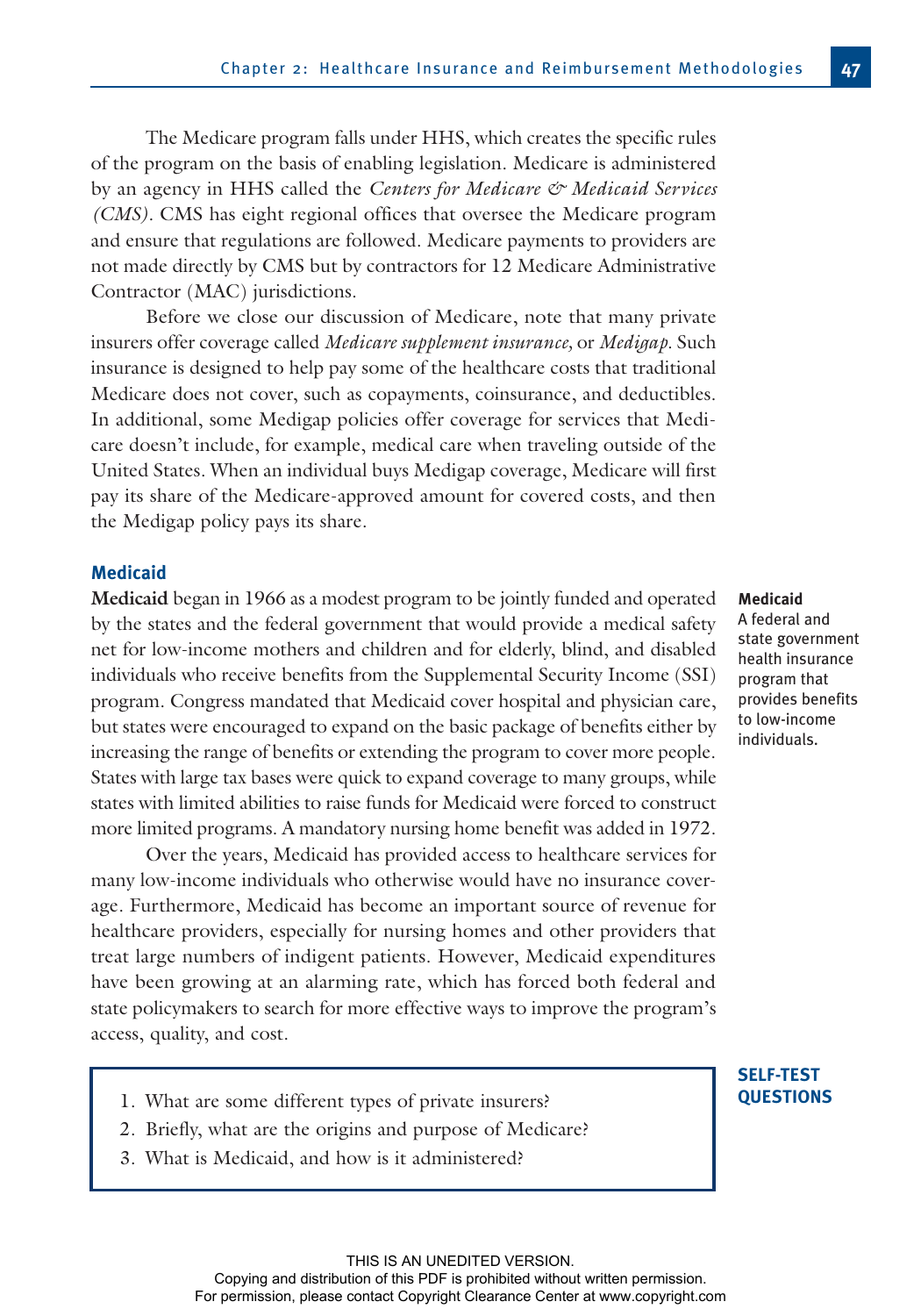The Medicare program falls under HHS, which creates the specific rules of the program on the basis of enabling legislation. Medicare is administered by an agency in HHS called the *Centers for Medicare* & *Medicaid Services (CMS).* CMS has eight regional offices that oversee the Medicare program and ensure that regulations are followed. Medicare payments to providers are not made directly by CMS but by contractors for 12 Medicare Administrative Contractor (MAC) jurisdictions.

Before we close our discussion of Medicare, note that many private insurers offer coverage called *Medicare supplement insurance,* or *Medigap*. Such insurance is designed to help pay some of the healthcare costs that traditional Medicare does not cover, such as copayments, coinsurance, and deductibles. In additional, some Medigap policies offer coverage for services that Medicare doesn't include, for example, medical care when traveling outside of the United States. When an individual buys Medigap coverage, Medicare will first pay its share of the Medicare-approved amount for covered costs, and then the Medigap policy pays its share.

#### **Medicaid**

**Medicaid** began in 1966 as a modest program to be jointly funded and operated by the states and the federal government that would provide a medical safety net for low-income mothers and children and for elderly, blind, and disabled individuals who receive benefits from the Supplemental Security Income (SSI) program. Congress mandated that Medicaid cover hospital and physician care, but states were encouraged to expand on the basic package of benefits either by increasing the range of benefits or extending the program to cover more people. States with large tax bases were quick to expand coverage to many groups, while states with limited abilities to raise funds for Medicaid were forced to construct more limited programs. A mandatory nursing home benefit was added in 1972.

Over the years, Medicaid has provided access to healthcare services for many low-income individuals who otherwise would have no insurance coverage. Furthermore, Medicaid has become an important source of revenue for healthcare providers, especially for nursing homes and other providers that treat large numbers of indigent patients. However, Medicaid expenditures have been growing at an alarming rate, which has forced both federal and state policymakers to search for more effective ways to improve the program's access, quality, and cost.

- 1. What are some different types of private insurers?
- 2. Briefly, what are the origins and purpose of Medicare?
- 3. What is Medicaid, and how is it administered?

#### **Medicaid**

A federal and state government health insurance program that provides benefits to low-income individuals.

#### **SELF-TEST QUESTIONS**

THIS IS AN UNEDITED VERSION. Copying and distribution of this PDF is prohibited without written permission. For permission, please contact Copyright Clearance Center at www.copyright.com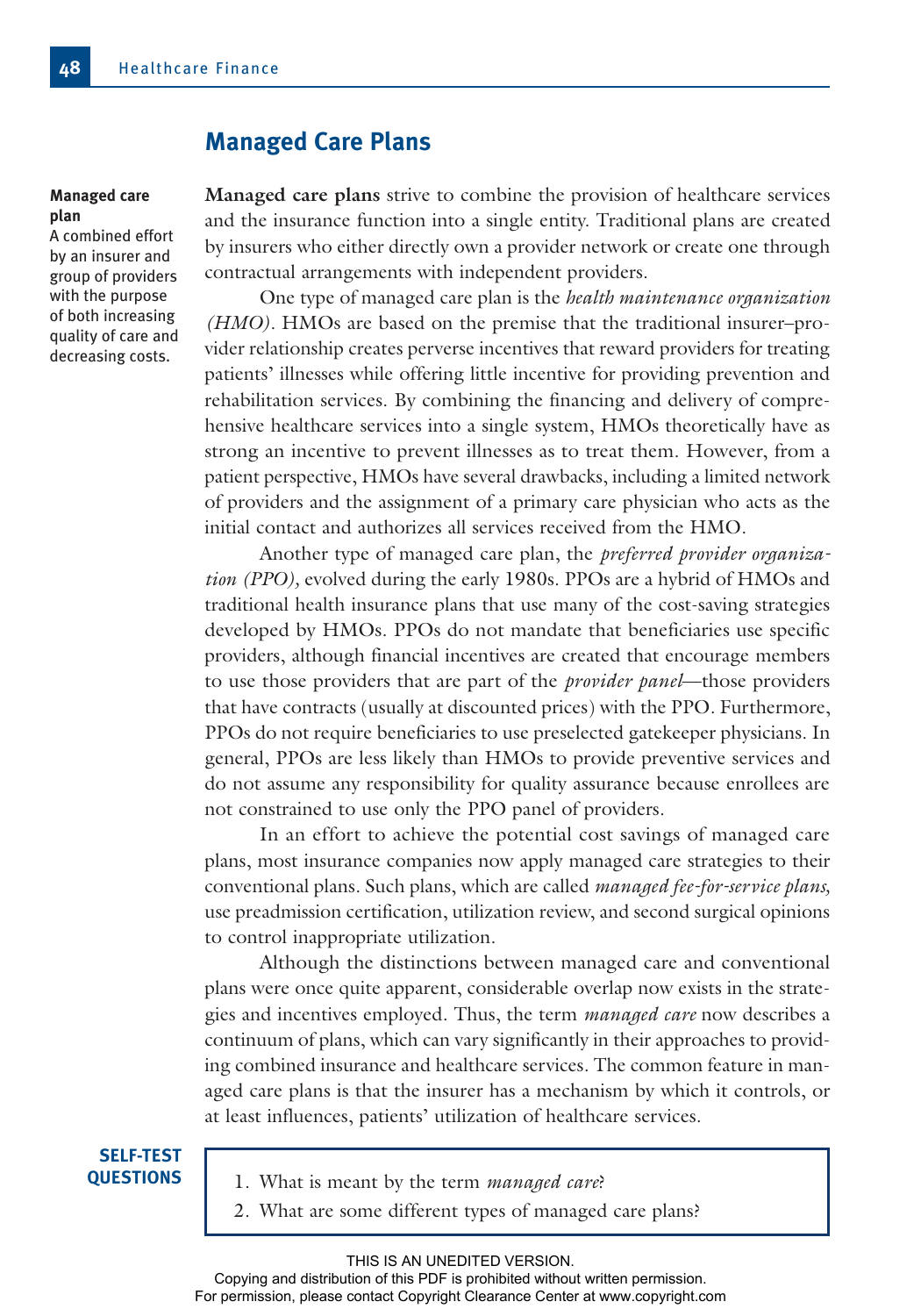## **Managed Care Plans**

#### **Managed care plan**

A combined effort by an insurer and group of providers with the purpose of both increasing quality of care and decreasing costs.

**Managed care plans** strive to combine the provision of healthcare services and the insurance function into a single entity. Traditional plans are created by insurers who either directly own a provider network or create one through contractual arrangements with independent providers.

One type of managed care plan is the *health maintenance organization (HMO).* HMOs are based on the premise that the traditional insurer–provider relationship creates perverse incentives that reward providers for treating patients' illnesses while offering little incentive for providing prevention and rehabilitation services. By combining the financing and delivery of comprehensive healthcare services into a single system, HMOs theoretically have as strong an incentive to prevent illnesses as to treat them. However, from a patient perspective, HMOs have several drawbacks, including a limited network of providers and the assignment of a primary care physician who acts as the initial contact and authorizes all services received from the HMO.

Another type of managed care plan, the *preferred provider organization (PPO),* evolved during the early 1980s. PPOs are a hybrid of HMOs and traditional health insurance plans that use many of the cost-saving strategies developed by HMOs. PPOs do not mandate that beneficiaries use specific providers, although financial incentives are created that encourage members to use those providers that are part of the *provider panel*—those providers that have contracts (usually at discounted prices) with the PPO. Furthermore, PPOs do not require beneficiaries to use preselected gatekeeper physicians. In general, PPOs are less likely than HMOs to provide preventive services and do not assume any responsibility for quality assurance because enrollees are not constrained to use only the PPO panel of providers.

In an effort to achieve the potential cost savings of managed care plans, most insurance companies now apply managed care strategies to their conventional plans. Such plans, which are called *managed fee-for-service plans,* use preadmission certification, utilization review, and second surgical opinions to control inappropriate utilization.

Although the distinctions between managed care and conventional plans were once quite apparent, considerable overlap now exists in the strategies and incentives employed. Thus, the term *managed care* now describes a continuum of plans, which can vary significantly in their approaches to providing combined insurance and healthcare services. The common feature in managed care plans is that the insurer has a mechanism by which it controls, or at least influences, patients' utilization of healthcare services.

**SELF-TEST QUESTIONS**

- 1. What is meant by the term *managed care*?
- 2. What are some different types of managed care plans?

THIS IS AN UNEDITED VERSION.

Copying and distribution of this PDF is prohibited without written permission. For permission, please contact Copyright Clearance Center at www.copyright.com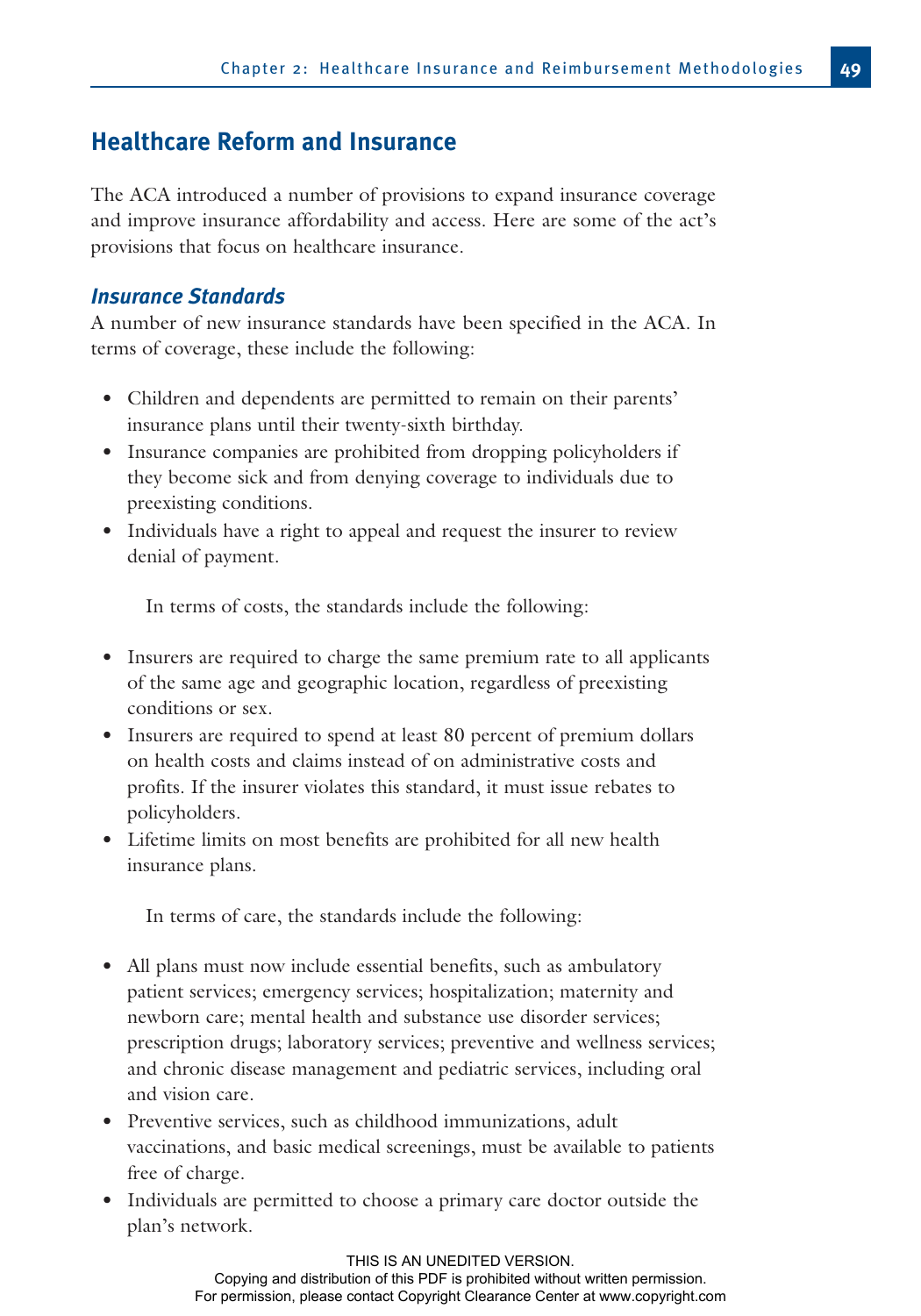## **Healthcare Reform and Insurance**

The ACA introduced a number of provisions to expand insurance coverage and improve insurance affordability and access. Here are some of the act's provisions that focus on healthcare insurance.

## *Insurance Standards*

A number of new insurance standards have been specified in the ACA. In terms of coverage, these include the following:

- Children and dependents are permitted to remain on their parents' insurance plans until their twenty-sixth birthday.
- Insurance companies are prohibited from dropping policyholders if they become sick and from denying coverage to individuals due to preexisting conditions.
- Individuals have a right to appeal and request the insurer to review denial of payment.

In terms of costs, the standards include the following:

- Insurers are required to charge the same premium rate to all applicants of the same age and geographic location, regardless of preexisting conditions or sex.
- Insurers are required to spend at least 80 percent of premium dollars on health costs and claims instead of on administrative costs and profits. If the insurer violates this standard, it must issue rebates to policyholders.
- Lifetime limits on most benefits are prohibited for all new health insurance plans.

In terms of care, the standards include the following:

- All plans must now include essential benefits, such as ambulatory patient services; emergency services; hospitalization; maternity and newborn care; mental health and substance use disorder services; prescription drugs; laboratory services; preventive and wellness services; and chronic disease management and pediatric services, including oral and vision care.
- Preventive services, such as childhood immunizations, adult vaccinations, and basic medical screenings, must be available to patients free of charge.
- Individuals are permitted to choose a primary care doctor outside the plan's network.

#### THIS IS AN UNEDITED VERSION.

Copying and distribution of this PDF is prohibited without written permission. For permission, please contact Copyright Clearance Center at www.copyright.com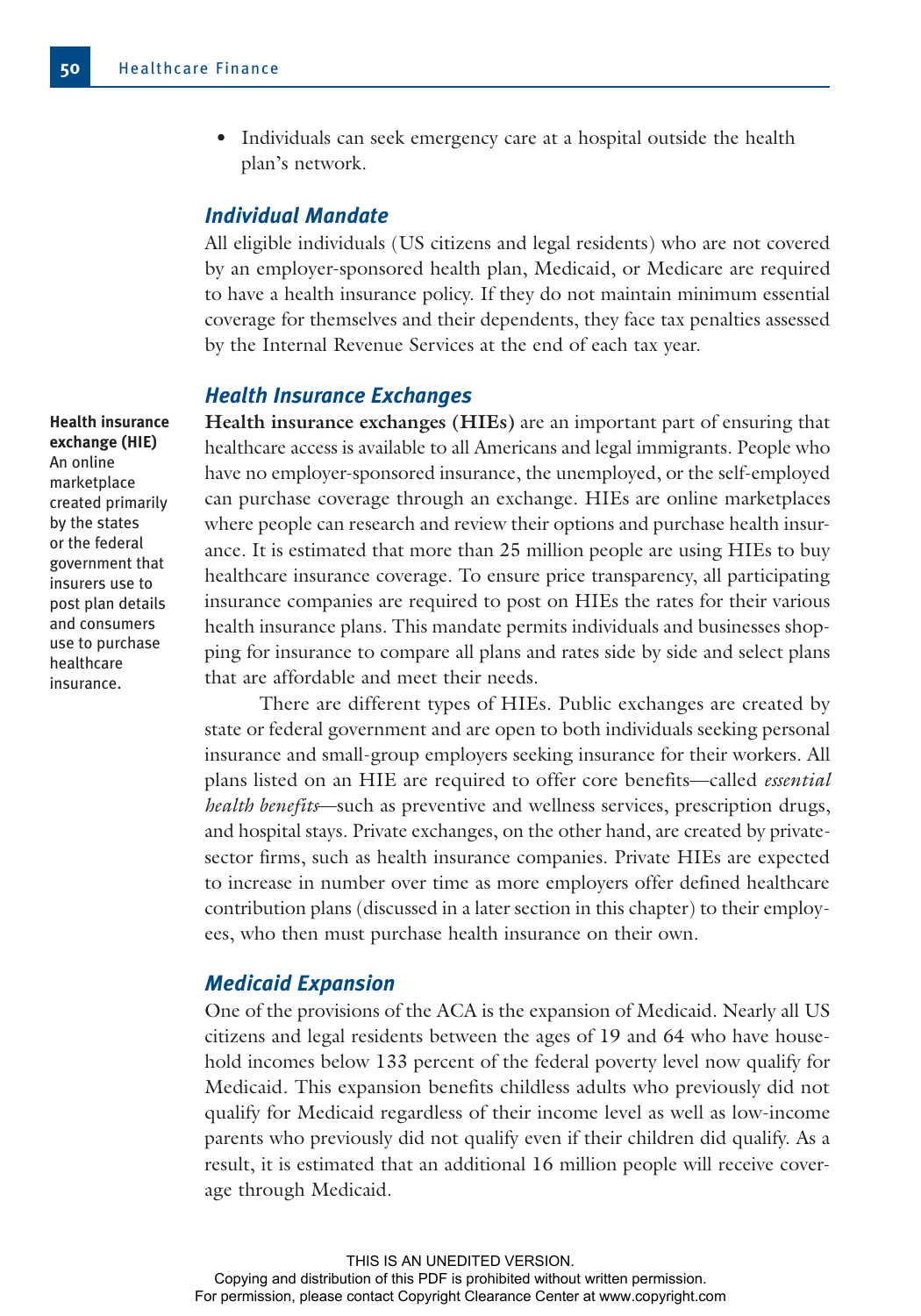• Individuals can seek emergency care at a hospital outside the health plan's network.

## *Individual Mandate*

All eligible individuals (US citizens and legal residents) who are not covered by an employer-sponsored health plan, Medicaid, or Medicare are required to have a health insurance policy. If they do not maintain minimum essential coverage for themselves and their dependents, they face tax penalties assessed by the Internal Revenue Services at the end of each tax year.

#### *Health Insurance Exchanges*

**Health insurance exchanges (HIEs)** are an important part of ensuring that healthcare access is available to all Americans and legal immigrants. People who have no employer-sponsored insurance, the unemployed, or the self-employed can purchase coverage through an exchange. HIEs are online marketplaces where people can research and review their options and purchase health insurance. It is estimated that more than 25 million people are using HIEs to buy healthcare insurance coverage. To ensure price transparency, all participating insurance companies are required to post on HIEs the rates for their various health insurance plans. This mandate permits individuals and businesses shopping for insurance to compare all plans and rates side by side and select plans that are affordable and meet their needs.

There are different types of HIEs. Public exchanges are created by state or federal government and are open to both individuals seeking personal insurance and small-group employers seeking insurance for their workers. All plans listed on an HIE are required to offer core benefits—called *essential health benefits*—such as preventive and wellness services, prescription drugs, and hospital stays. Private exchanges, on the other hand, are created by privatesector firms, such as health insurance companies. Private HIEs are expected to increase in number over time as more employers offer defined healthcare contribution plans (discussed in a later section in this chapter) to their employees, who then must purchase health insurance on their own.

#### *Medicaid Expansion*

One of the provisions of the ACA is the expansion of Medicaid. Nearly all US citizens and legal residents between the ages of 19 and 64 who have household incomes below 133 percent of the federal poverty level now qualify for Medicaid. This expansion benefits childless adults who previously did not qualify for Medicaid regardless of their income level as well as low-income parents who previously did not qualify even if their children did qualify. As a result, it is estimated that an additional 16 million people will receive coverage through Medicaid.

**Health insurance exchange (HIE)** An online marketplace created primarily by the states or the federal government that insurers use to post plan details and consumers use to purchase healthcare insurance.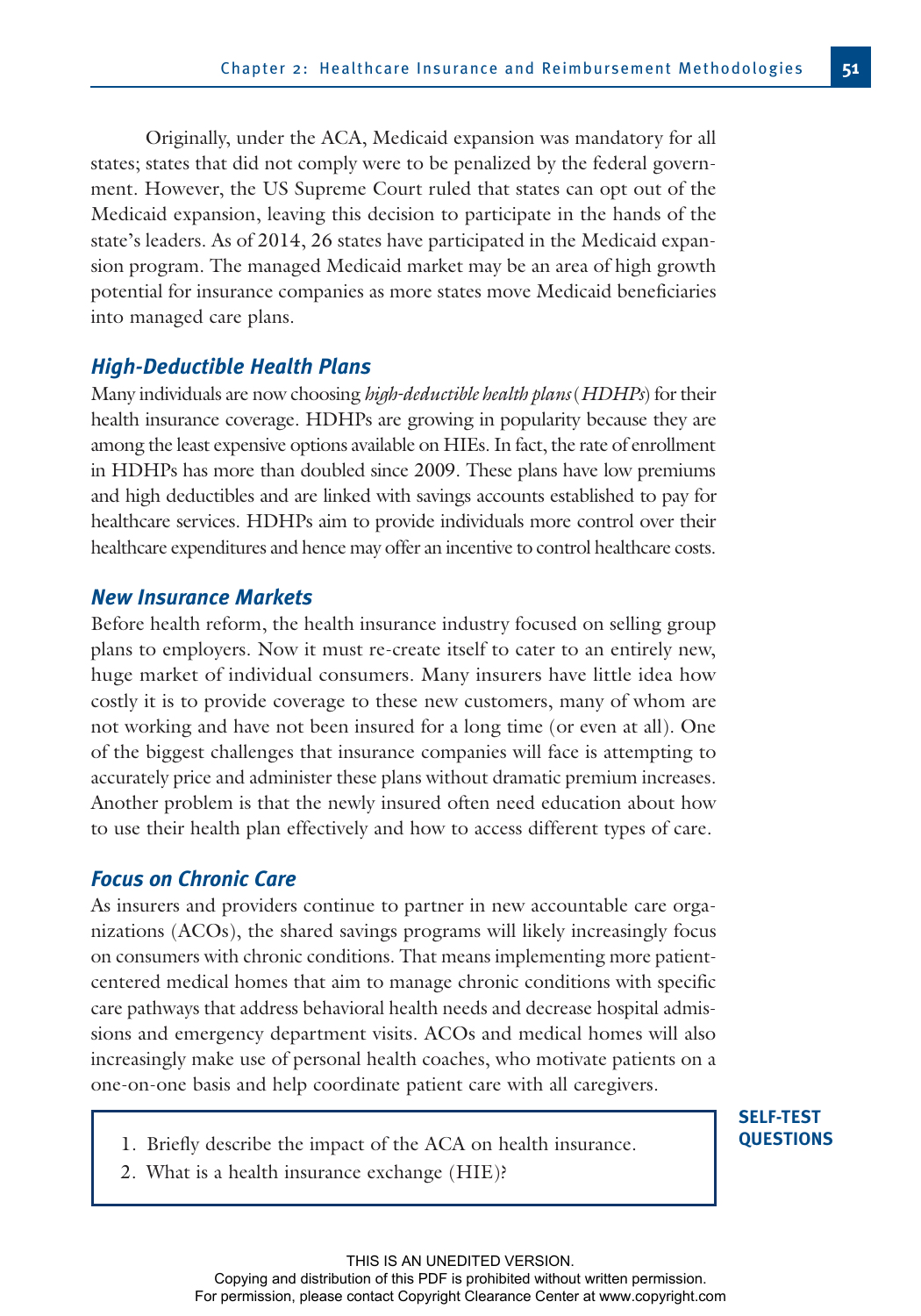Originally, under the ACA, Medicaid expansion was mandatory for all states; states that did not comply were to be penalized by the federal government. However, the US Supreme Court ruled that states can opt out of the Medicaid expansion, leaving this decision to participate in the hands of the state's leaders. As of 2014, 26 states have participated in the Medicaid expansion program. The managed Medicaid market may be an area of high growth potential for insurance companies as more states move Medicaid beneficiaries into managed care plans.

## *High-Deductible Health Plans*

Many individuals are now choosing *high-deductible health plans* (*HDHPs*) for their health insurance coverage. HDHPs are growing in popularity because they are among the least expensive options available on HIEs. In fact, the rate of enrollment in HDHPs has more than doubled since 2009. These plans have low premiums and high deductibles and are linked with savings accounts established to pay for healthcare services. HDHPs aim to provide individuals more control over their healthcare expenditures and hence may offer an incentive to control healthcare costs.

## *New Insurance Markets*

Before health reform, the health insurance industry focused on selling group plans to employers. Now it must re-create itself to cater to an entirely new, huge market of individual consumers. Many insurers have little idea how costly it is to provide coverage to these new customers, many of whom are not working and have not been insured for a long time (or even at all). One of the biggest challenges that insurance companies will face is attempting to accurately price and administer these plans without dramatic premium increases. Another problem is that the newly insured often need education about how to use their health plan effectively and how to access different types of care.

#### *Focus on Chronic Care*

As insurers and providers continue to partner in new accountable care organizations (ACOs), the shared savings programs will likely increasingly focus on consumers with chronic conditions. That means implementing more patientcentered medical homes that aim to manage chronic conditions with specific care pathways that address behavioral health needs and decrease hospital admissions and emergency department visits. ACOs and medical homes will also increasingly make use of personal health coaches, who motivate patients on a one-on-one basis and help coordinate patient care with all caregivers.

- 1. Briefly describe the impact of the ACA on health insurance.
- 2. What is a health insurance exchange (HIE)?

#### **SELF-TEST QUESTIONS**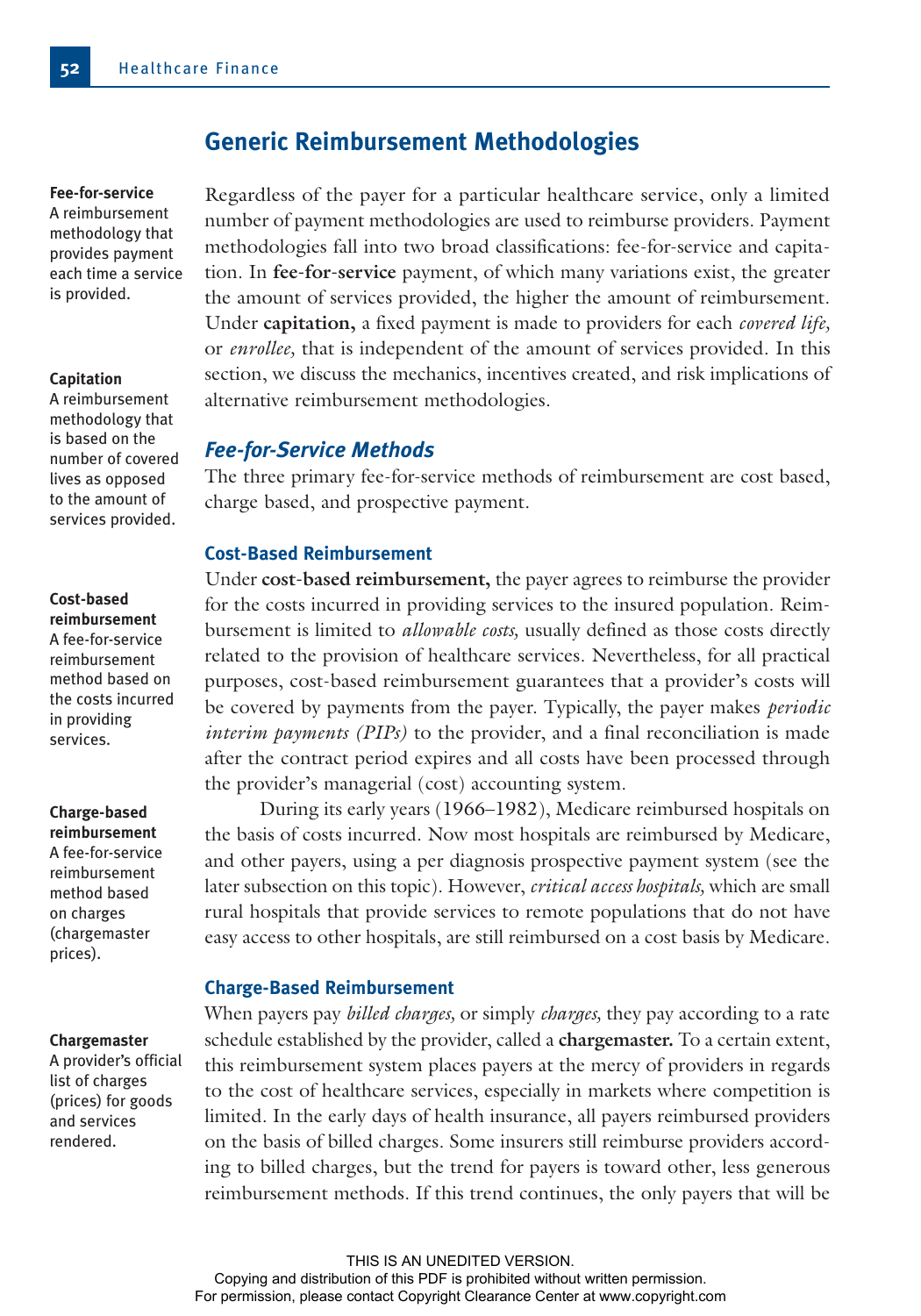## **Generic Reimbursement Methodologies**

#### **Fee-for-service**

A reimbursement methodology that provides payment each time a service is provided.

#### **Capitation**

A reimbursement methodology that is based on the number of covered lives as opposed to the amount of services provided.

#### **Cost-based reimbursement**

A fee-for-service reimbursement method based on the costs incurred in providing services.

#### **Charge-based reimbursement**

A fee-for-service reimbursement method based on charges (chargemaster prices).

#### **Chargemaster**

A provider's official list of charges (prices) for goods and services rendered.

Regardless of the payer for a particular healthcare service, only a limited number of payment methodologies are used to reimburse providers. Payment methodologies fall into two broad classifications: fee-for-service and capitation. In **fee-for-service** payment, of which many variations exist, the greater the amount of services provided, the higher the amount of reimbursement. Under **capitation,** a fixed payment is made to providers for each *covered life,* or *enrollee,* that is independent of the amount of services provided. In this section, we discuss the mechanics, incentives created, and risk implications of alternative reimbursement methodologies.

## *Fee-for-Service Methods*

The three primary fee-for-service methods of reimbursement are cost based, charge based, and prospective payment.

#### **Cost-Based Reimbursement**

Under **cost-based reimbursement,** the payer agrees to reimburse the provider for the costs incurred in providing services to the insured population. Reimbursement is limited to *allowable costs,* usually defined as those costs directly related to the provision of healthcare services. Nevertheless, for all practical purposes, cost-based reimbursement guarantees that a provider's costs will be covered by payments from the payer. Typically, the payer makes *periodic interim payments (PIPs)* to the provider, and a final reconciliation is made after the contract period expires and all costs have been processed through the provider's managerial (cost) accounting system.

During its early years (1966–1982), Medicare reimbursed hospitals on the basis of costs incurred. Now most hospitals are reimbursed by Medicare, and other payers, using a per diagnosis prospective payment system (see the later subsection on this topic). However, *critical access hospitals,* which are small rural hospitals that provide services to remote populations that do not have easy access to other hospitals, are still reimbursed on a cost basis by Medicare.

#### **Charge-Based Reimbursement**

When payers pay *billed charges,* or simply *charges,* they pay according to a rate schedule established by the provider, called a **chargemaster.** To a certain extent, this reimbursement system places payers at the mercy of providers in regards to the cost of healthcare services, especially in markets where competition is limited. In the early days of health insurance, all payers reimbursed providers on the basis of billed charges. Some insurers still reimburse providers according to billed charges, but the trend for payers is toward other, less generous reimbursement methods. If this trend continues, the only payers that will be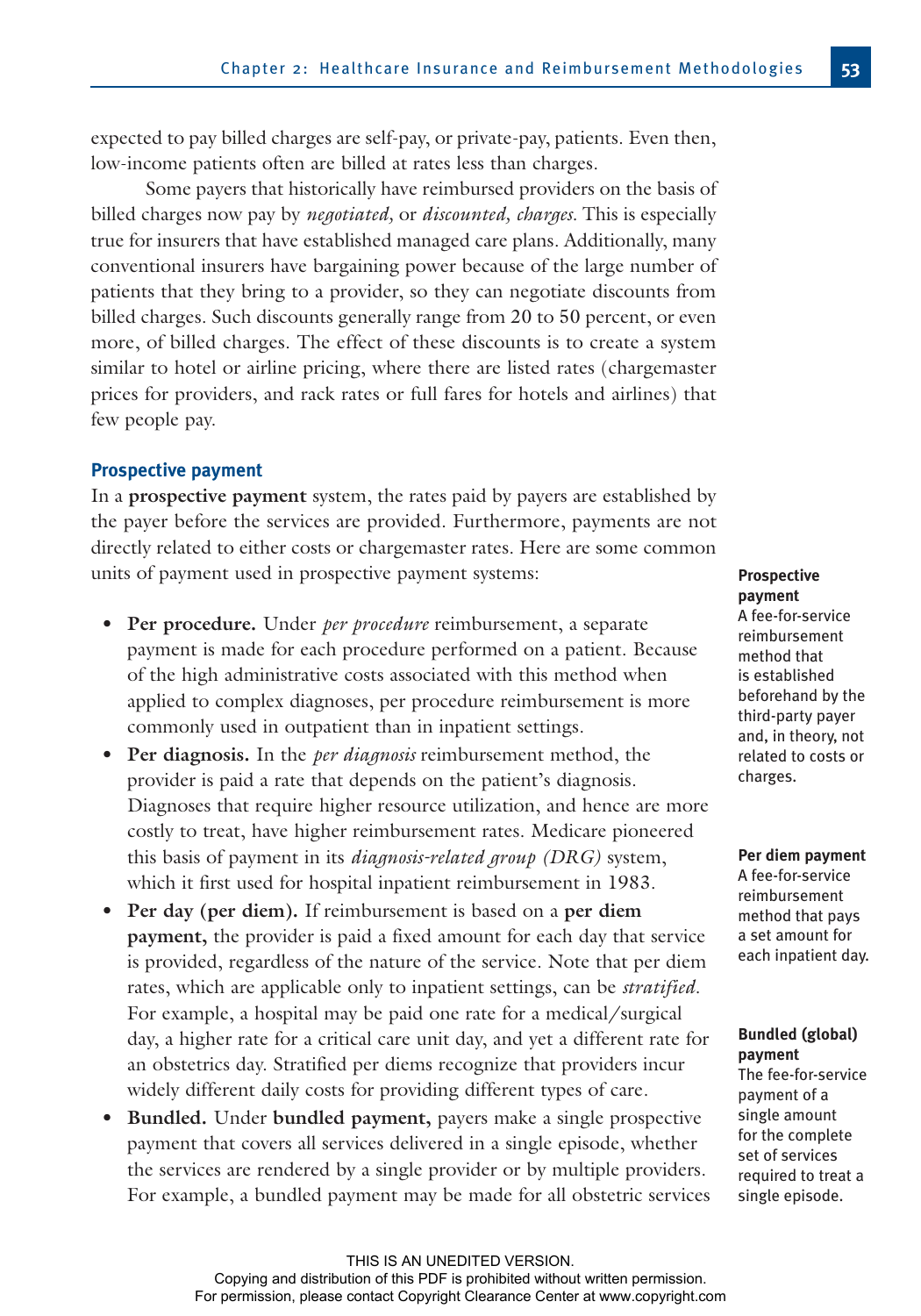expected to pay billed charges are self-pay, or private-pay, patients. Even then, low-income patients often are billed at rates less than charges.

Some payers that historically have reimbursed providers on the basis of billed charges now pay by *negotiated,* or *discounted, charges.* This is especially true for insurers that have established managed care plans. Additionally, many conventional insurers have bargaining power because of the large number of patients that they bring to a provider, so they can negotiate discounts from billed charges. Such discounts generally range from 20 to 50 percent, or even more, of billed charges. The effect of these discounts is to create a system similar to hotel or airline pricing, where there are listed rates (chargemaster prices for providers, and rack rates or full fares for hotels and airlines) that few people pay.

## **Prospective payment**

In a **prospective payment** system, the rates paid by payers are established by the payer before the services are provided. Furthermore, payments are not directly related to either costs or chargemaster rates. Here are some common units of payment used in prospective payment systems:

- **Per procedure.** Under *per procedure* reimbursement, a separate payment is made for each procedure performed on a patient. Because of the high administrative costs associated with this method when applied to complex diagnoses, per procedure reimbursement is more commonly used in outpatient than in inpatient settings.
- **Per diagnosis.** In the *per diagnosis* reimbursement method, the provider is paid a rate that depends on the patient's diagnosis. Diagnoses that require higher resource utilization, and hence are more costly to treat, have higher reimbursement rates. Medicare pioneered this basis of payment in its *diagnosis-related group (DRG)* system, which it first used for hospital inpatient reimbursement in 1983.
- **Per day (per diem).** If reimbursement is based on a **per diem payment,** the provider is paid a fixed amount for each day that service is provided, regardless of the nature of the service. Note that per diem rates, which are applicable only to inpatient settings, can be *stratified.* For example, a hospital may be paid one rate for a medical/surgical day, a higher rate for a critical care unit day, and yet a different rate for an obstetrics day. Stratified per diems recognize that providers incur widely different daily costs for providing different types of care.
- **Bundled.** Under **bundled payment,** payers make a single prospective payment that covers all services delivered in a single episode, whether the services are rendered by a single provider or by multiple providers. For example, a bundled payment may be made for all obstetric services

#### **Prospective payment**

A fee-for-service reimbursement method that is established beforehand by the third-party payer and, in theory, not related to costs or charges.

#### **Per diem payment**

A fee-for-service reimbursement method that pays a set amount for each inpatient day.

#### **Bundled (global) payment**

The fee-for-service payment of a single amount for the complete set of services required to treat a single episode.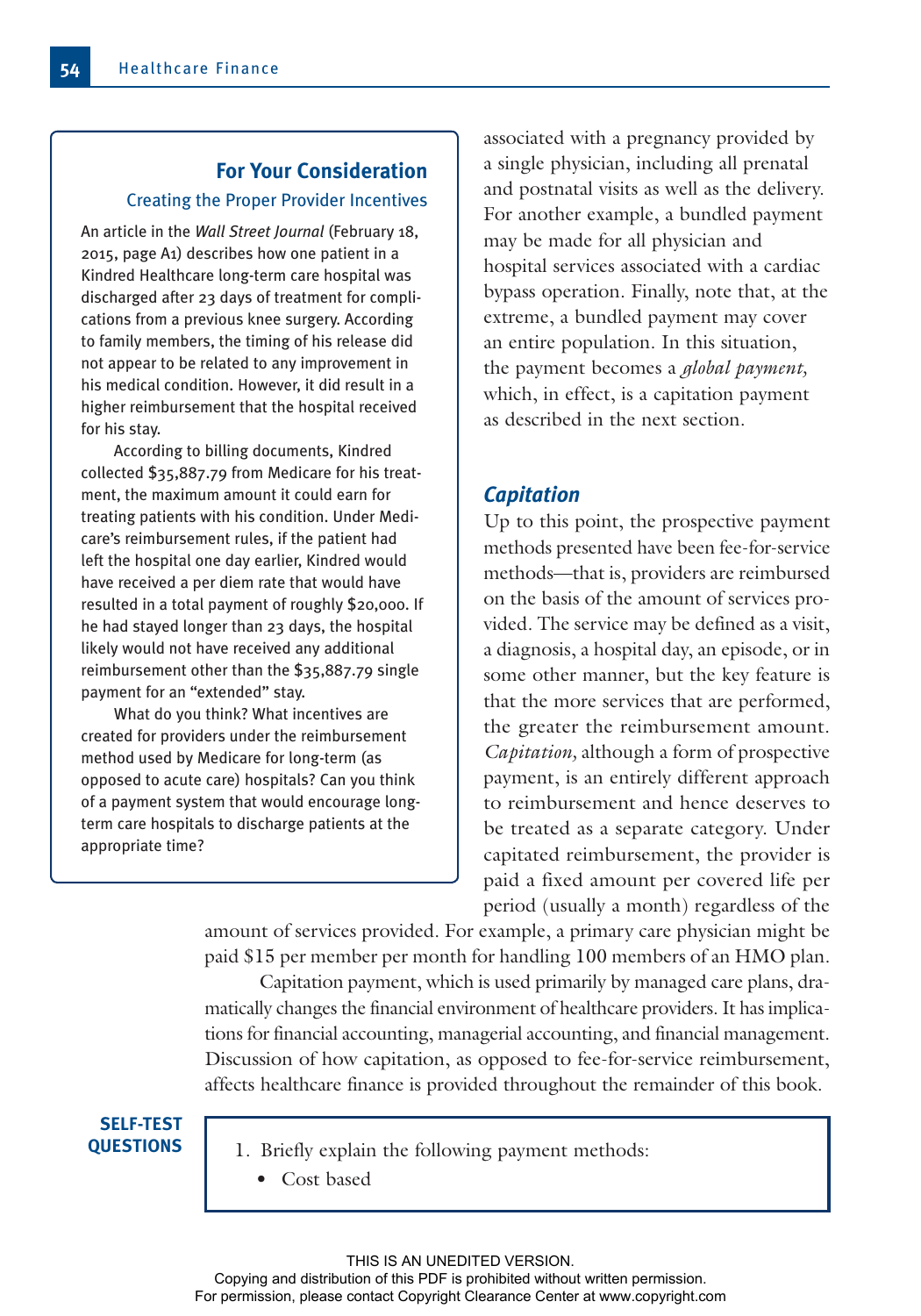## **For Your Consideration**

#### Creating the Proper Provider Incentives

An article in the *Wall Street Journal* (February 18, 2015, page A1) describes how one patient in a Kindred Healthcare long-term care hospital was discharged after 23 days of treatment for complications from a previous knee surgery. According to family members, the timing of his release did not appear to be related to any improvement in his medical condition. However, it did result in a higher reimbursement that the hospital received for his stay.

According to billing documents, Kindred collected \$35,887.79 from Medicare for his treatment, the maximum amount it could earn for treating patients with his condition. Under Medicare's reimbursement rules, if the patient had left the hospital one day earlier, Kindred would have received a per diem rate that would have resulted in a total payment of roughly \$20,000. If he had stayed longer than 23 days, the hospital likely would not have received any additional reimbursement other than the \$35,887.79 single payment for an "extended" stay.

What do you think? What incentives are created for providers under the reimbursement method used by Medicare for long-term (as opposed to acute care) hospitals? Can you think of a payment system that would encourage longterm care hospitals to discharge patients at the appropriate time?

associated with a pregnancy provided by a single physician, including all prenatal and postnatal visits as well as the delivery. For another example, a bundled payment may be made for all physician and hospital services associated with a cardiac bypass operation. Finally, note that, at the extreme, a bundled payment may cover an entire population. In this situation, the payment becomes a *global payment,* which, in effect, is a capitation payment as described in the next section.

#### *Capitation*

Up to this point, the prospective payment methods presented have been fee-for-service methods—that is, providers are reimbursed on the basis of the amount of services provided. The service may be defined as a visit, a diagnosis, a hospital day, an episode, or in some other manner, but the key feature is that the more services that are performed, the greater the reimbursement amount. *Capitation,* although a form of prospective payment, is an entirely different approach to reimbursement and hence deserves to be treated as a separate category. Under capitated reimbursement, the provider is paid a fixed amount per covered life per period (usually a month) regardless of the

amount of services provided. For example, a primary care physician might be paid \$15 per member per month for handling 100 members of an HMO plan.

Capitation payment, which is used primarily by managed care plans, dramatically changes the financial environment of healthcare providers. It has implications for financial accounting, managerial accounting, and financial management. Discussion of how capitation, as opposed to fee-for-service reimbursement, affects healthcare finance is provided throughout the remainder of this book.

**SELF-TEST QUESTIONS**

- 1. Briefly explain the following payment methods:
	- Cost based

#### THIS IS AN UNEDITED VERSION.

Copying and distribution of this PDF is prohibited without written permission. For permission, please contact Copyright Clearance Center at www.copyright.com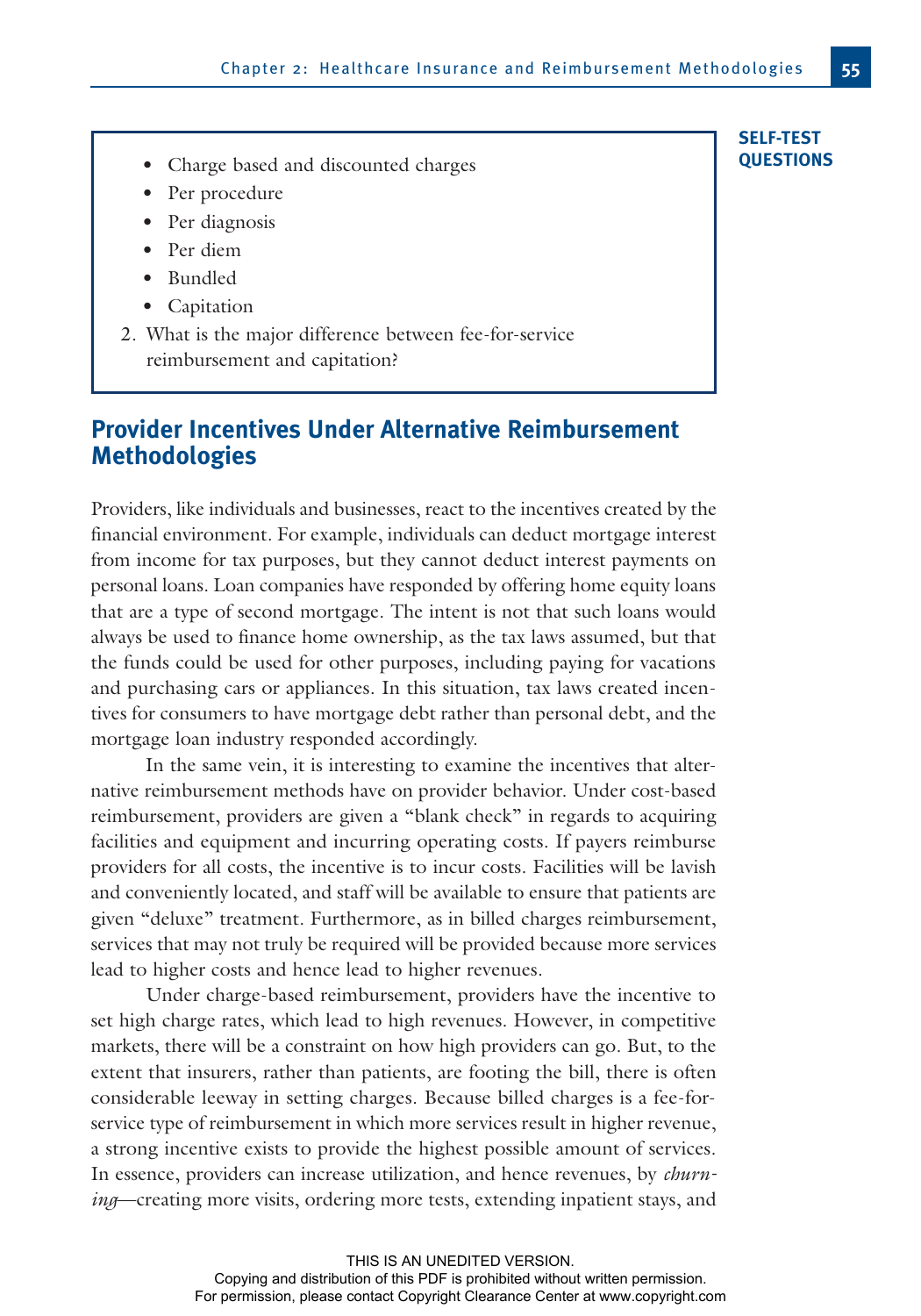- Charge based and discounted charges
- Per procedure
- Per diagnosis
- Per diem
- Bundled
- **Capitation**
- 2. What is the major difference between fee-for-service reimbursement and capitation?

## **Provider Incentives Under Alternative Reimbursement Methodologies**

Providers, like individuals and businesses, react to the incentives created by the financial environment. For example, individuals can deduct mortgage interest from income for tax purposes, but they cannot deduct interest payments on personal loans. Loan companies have responded by offering home equity loans that are a type of second mortgage. The intent is not that such loans would always be used to finance home ownership, as the tax laws assumed, but that the funds could be used for other purposes, including paying for vacations and purchasing cars or appliances. In this situation, tax laws created incentives for consumers to have mortgage debt rather than personal debt, and the mortgage loan industry responded accordingly.

In the same vein, it is interesting to examine the incentives that alternative reimbursement methods have on provider behavior. Under cost-based reimbursement, providers are given a "blank check" in regards to acquiring facilities and equipment and incurring operating costs. If payers reimburse providers for all costs, the incentive is to incur costs. Facilities will be lavish and conveniently located, and staff will be available to ensure that patients are given "deluxe" treatment. Furthermore, as in billed charges reimbursement, services that may not truly be required will be provided because more services lead to higher costs and hence lead to higher revenues.

Under charge-based reimbursement, providers have the incentive to set high charge rates, which lead to high revenues. However, in competitive markets, there will be a constraint on how high providers can go. But, to the extent that insurers, rather than patients, are footing the bill, there is often considerable leeway in setting charges. Because billed charges is a fee-forservice type of reimbursement in which more services result in higher revenue, a strong incentive exists to provide the highest possible amount of services. In essence, providers can increase utilization, and hence revenues, by *churning*—creating more visits, ordering more tests, extending inpatient stays, and

#### THIS IS AN UNEDITED VERSION. Copying and distribution of this PDF is prohibited without written permission.

For permission, please contact Copyright Clearance Center at www.copyright.com

## **SELF-TEST QUESTIONS**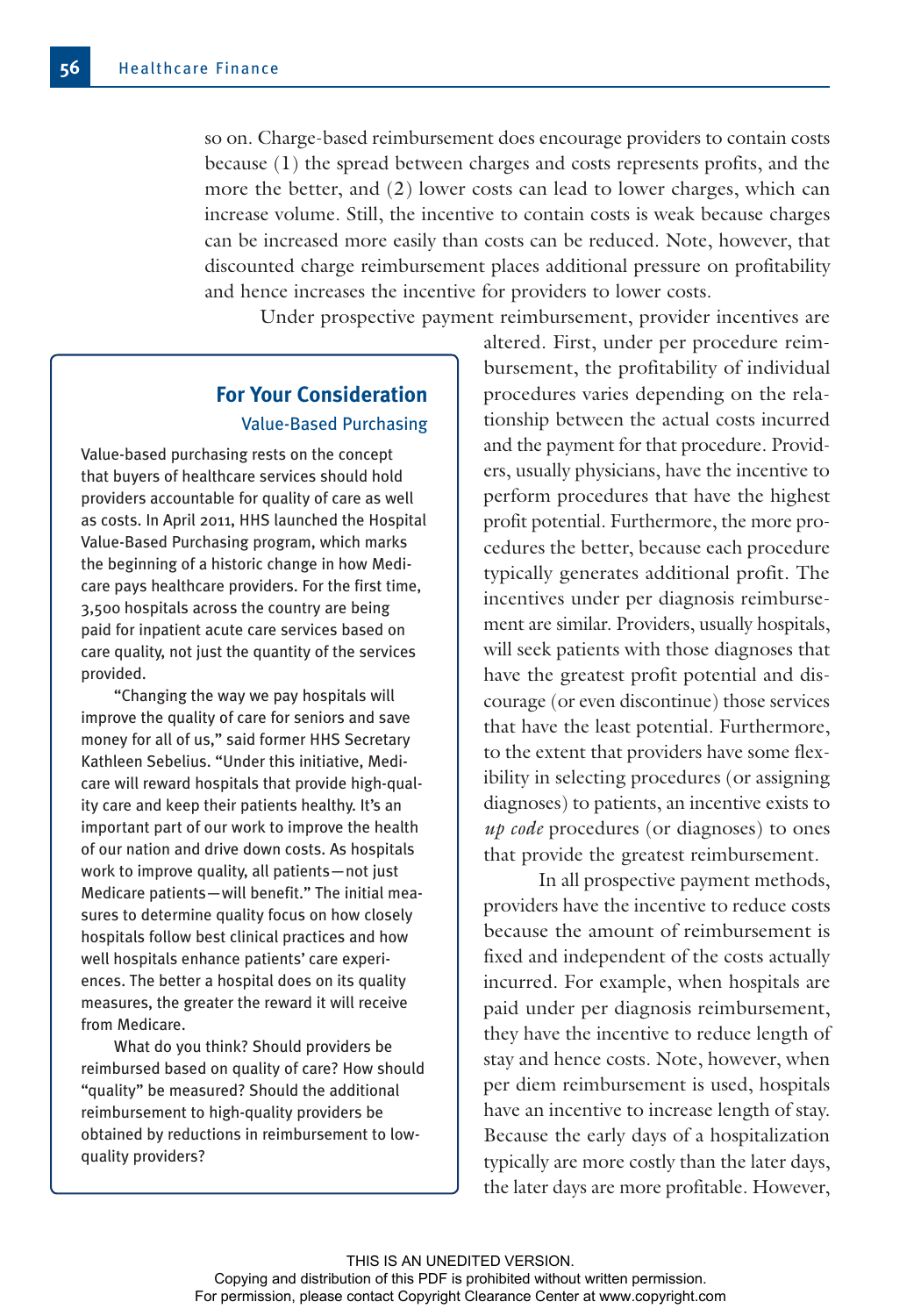so on. Charge-based reimbursement does encourage providers to contain costs because (1) the spread between charges and costs represents profits, and the more the better, and (2) lower costs can lead to lower charges, which can increase volume. Still, the incentive to contain costs is weak because charges can be increased more easily than costs can be reduced. Note, however, that discounted charge reimbursement places additional pressure on profitability and hence increases the incentive for providers to lower costs.

Under prospective payment reimbursement, provider incentives are

## **For Your Consideration** Value-Based Purchasing

Value-based purchasing rests on the concept that buyers of healthcare services should hold providers accountable for quality of care as well as costs. In April 2011, HHS launched the Hospital Value-Based Purchasing program, which marks the beginning of a historic change in how Medicare pays healthcare providers. For the first time, 3,500 hospitals across the country are being paid for inpatient acute care services based on care quality, not just the quantity of the services provided.

"Changing the way we pay hospitals will improve the quality of care for seniors and save money for all of us," said former HHS Secretary Kathleen Sebelius. "Under this initiative, Medicare will reward hospitals that provide high-quality care and keep their patients healthy. It's an important part of our work to improve the health of our nation and drive down costs. As hospitals work to improve quality, all patients—not just Medicare patients—will benefit." The initial measures to determine quality focus on how closely hospitals follow best clinical practices and how well hospitals enhance patients' care experiences. The better a hospital does on its quality measures, the greater the reward it will receive from Medicare.

What do you think? Should providers be reimbursed based on quality of care? How should "quality" be measured? Should the additional reimbursement to high-quality providers be obtained by reductions in reimbursement to lowquality providers?

altered. First, under per procedure reimbursement, the profitability of individual procedures varies depending on the relationship between the actual costs incurred and the payment for that procedure. Providers, usually physicians, have the incentive to perform procedures that have the highest profit potential. Furthermore, the more procedures the better, because each procedure typically generates additional profit. The incentives under per diagnosis reimbursement are similar. Providers, usually hospitals, will seek patients with those diagnoses that have the greatest profit potential and discourage (or even discontinue) those services that have the least potential. Furthermore, to the extent that providers have some flexibility in selecting procedures (or assigning diagnoses) to patients, an incentive exists to *up code* procedures (or diagnoses) to ones that provide the greatest reimbursement.

In all prospective payment methods, providers have the incentive to reduce costs because the amount of reimbursement is fixed and independent of the costs actually incurred. For example, when hospitals are paid under per diagnosis reimbursement, they have the incentive to reduce length of stay and hence costs. Note, however, when per diem reimbursement is used, hospitals have an incentive to increase length of stay. Because the early days of a hospitalization typically are more costly than the later days, the later days are more profitable. However,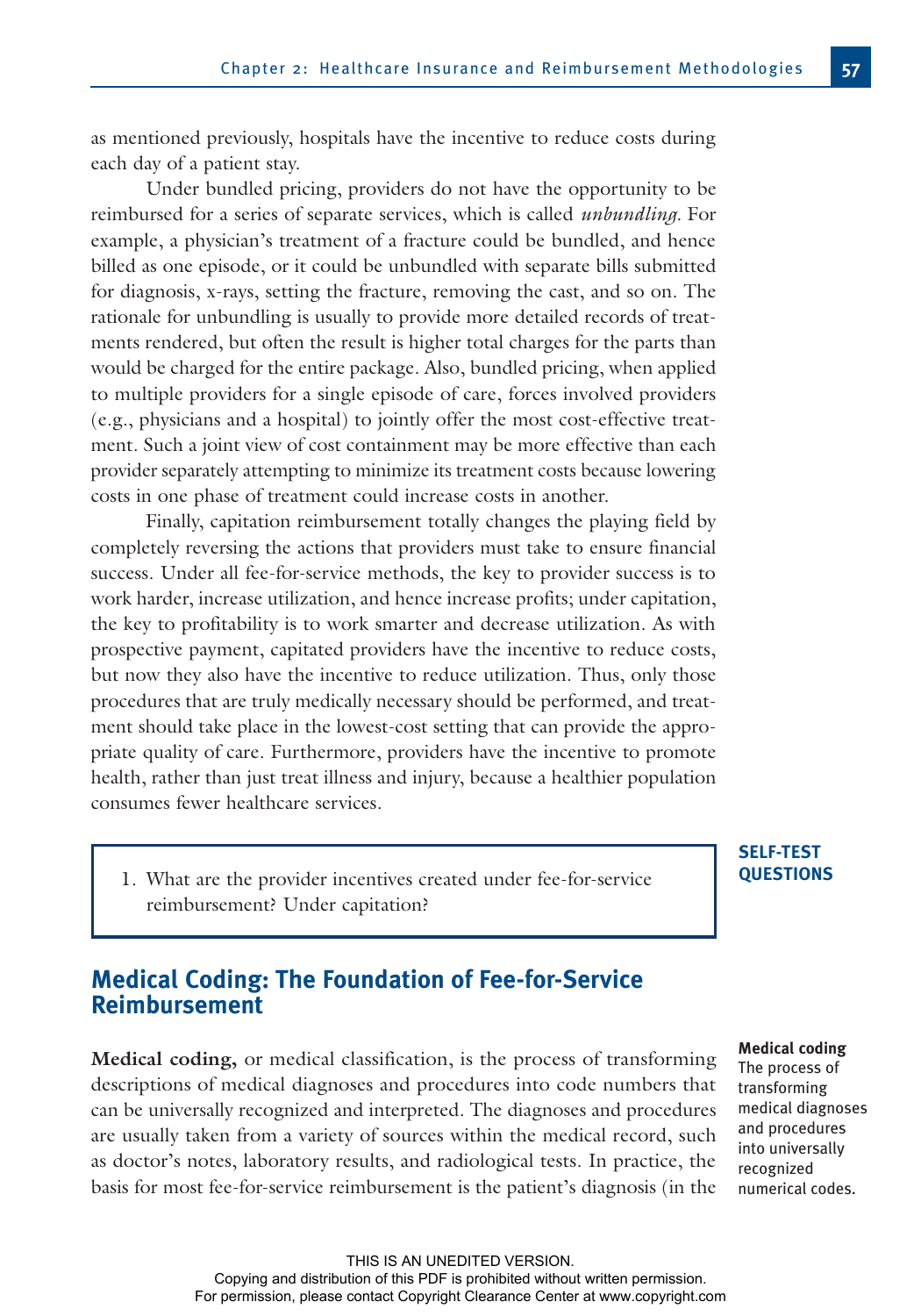as mentioned previously, hospitals have the incentive to reduce costs during each day of a patient stay.

Under bundled pricing, providers do not have the opportunity to be reimbursed for a series of separate services, which is called *unbundling.* For example, a physician's treatment of a fracture could be bundled, and hence billed as one episode, or it could be unbundled with separate bills submitted for diagnosis, x-rays, setting the fracture, removing the cast, and so on. The rationale for unbundling is usually to provide more detailed records of treatments rendered, but often the result is higher total charges for the parts than would be charged for the entire package. Also, bundled pricing, when applied to multiple providers for a single episode of care, forces involved providers (e.g., physicians and a hospital) to jointly offer the most cost-effective treatment. Such a joint view of cost containment may be more effective than each provider separately attempting to minimize its treatment costs because lowering costs in one phase of treatment could increase costs in another.

Finally, capitation reimbursement totally changes the playing field by completely reversing the actions that providers must take to ensure financial success. Under all fee-for-service methods, the key to provider success is to work harder, increase utilization, and hence increase profits; under capitation, the key to profitability is to work smarter and decrease utilization. As with prospective payment, capitated providers have the incentive to reduce costs, but now they also have the incentive to reduce utilization. Thus, only those procedures that are truly medically necessary should be performed, and treatment should take place in the lowest-cost setting that can provide the appropriate quality of care. Furthermore, providers have the incentive to promote health, rather than just treat illness and injury, because a healthier population consumes fewer healthcare services.

1. What are the provider incentives created under fee-for-service reimbursement? Under capitation?

## **Medical Coding: The Foundation of Fee-for-Service Reimbursement**

**Medical coding,** or medical classification, is the process of transforming descriptions of medical diagnoses and procedures into code numbers that can be universally recognized and interpreted. The diagnoses and procedures are usually taken from a variety of sources within the medical record, such as doctor's notes, laboratory results, and radiological tests. In practice, the basis for most fee-for-service reimbursement is the patient's diagnosis (in the

## **Medical coding**

The process of transforming medical diagnoses and procedures into universally recognized numerical codes.

#### **SELF-TEST QUESTIONS**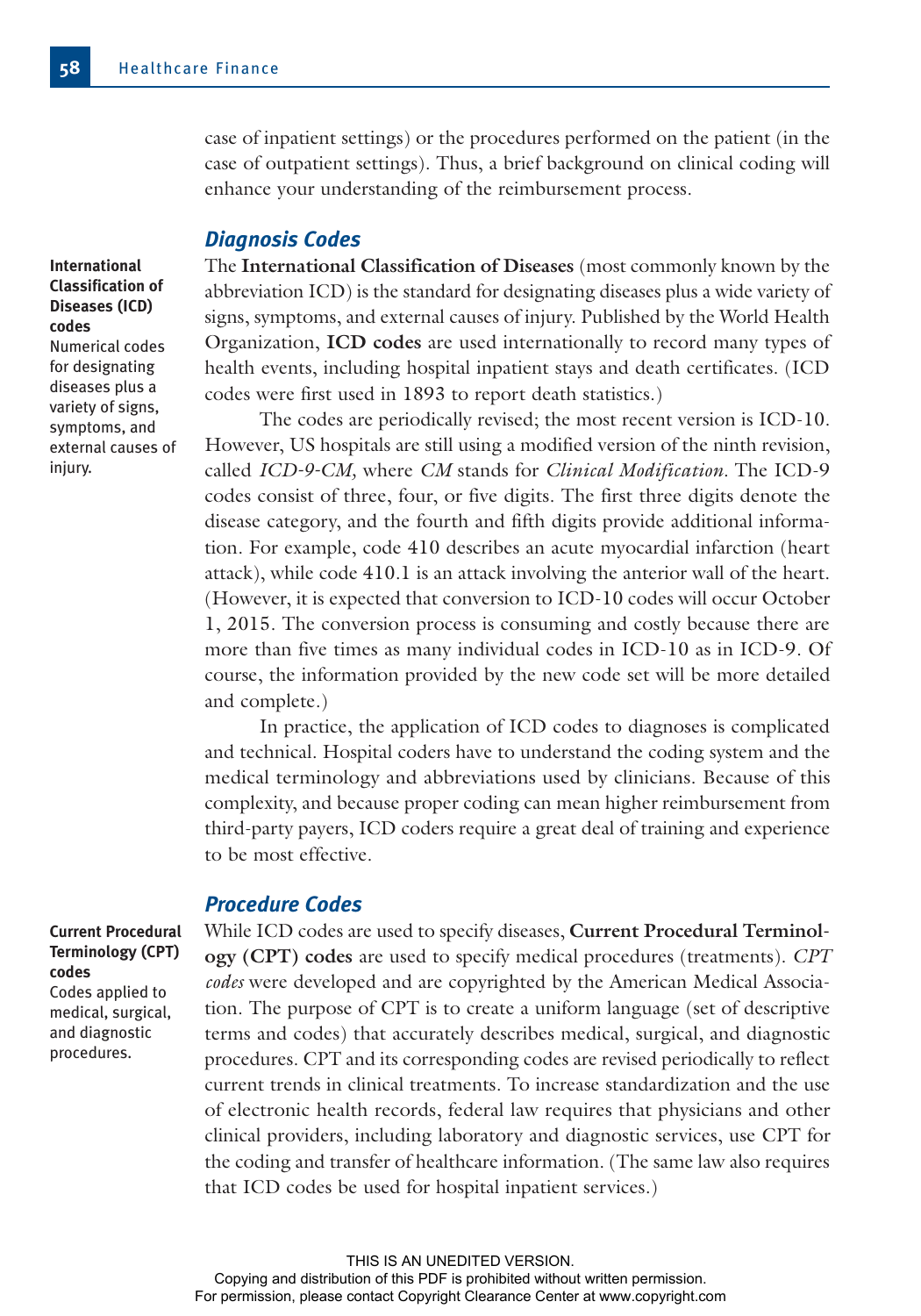case of inpatient settings) or the procedures performed on the patient (in the case of outpatient settings). Thus, a brief background on clinical coding will enhance your understanding of the reimbursement process.

The **International Classification of Diseases** (most commonly known by the abbreviation ICD) is the standard for designating diseases plus a wide variety of signs, symptoms, and external causes of injury. Published by the World Health Organization, **ICD codes** are used internationally to record many types of health events, including hospital inpatient stays and death certificates. (ICD codes were first used in 1893 to report death statistics.)

The codes are periodically revised; the most recent version is ICD-10. However, US hospitals are still using a modified version of the ninth revision, called *ICD-9-CM,* where *CM* stands for *Clinical Modification.* The ICD-9 codes consist of three, four, or five digits. The first three digits denote the disease category, and the fourth and fifth digits provide additional information. For example, code 410 describes an acute myocardial infarction (heart attack), while code 410.1 is an attack involving the anterior wall of the heart. (However, it is expected that conversion to ICD-10 codes will occur October 1, 2015. The conversion process is consuming and costly because there are more than five times as many individual codes in ICD-10 as in ICD-9. Of course, the information provided by the new code set will be more detailed and complete.)

In practice, the application of ICD codes to diagnoses is complicated and technical. Hospital coders have to understand the coding system and the medical terminology and abbreviations used by clinicians. Because of this complexity, and because proper coding can mean higher reimbursement from third-party payers, ICD coders require a great deal of training and experience to be most effective.

## *Procedure Codes*

**Current Procedural Terminology (CPT) codes** Codes applied to medical, surgical, and diagnostic procedures.

While ICD codes are used to specify diseases, **Current Procedural Terminology (CPT) codes** are used to specify medical procedures (treatments). *CPT codes* were developed and are copyrighted by the American Medical Association. The purpose of CPT is to create a uniform language (set of descriptive terms and codes) that accurately describes medical, surgical, and diagnostic procedures. CPT and its corresponding codes are revised periodically to reflect current trends in clinical treatments. To increase standardization and the use of electronic health records, federal law requires that physicians and other clinical providers, including laboratory and diagnostic services, use CPT for the coding and transfer of healthcare information. (The same law also requires that ICD codes be used for hospital inpatient services.)

*Diagnosis Codes* **International Classification of Diseases (ICD)** 

**codes** Numerical codes for designating diseases plus a variety of signs, symptoms, and external causes of injury.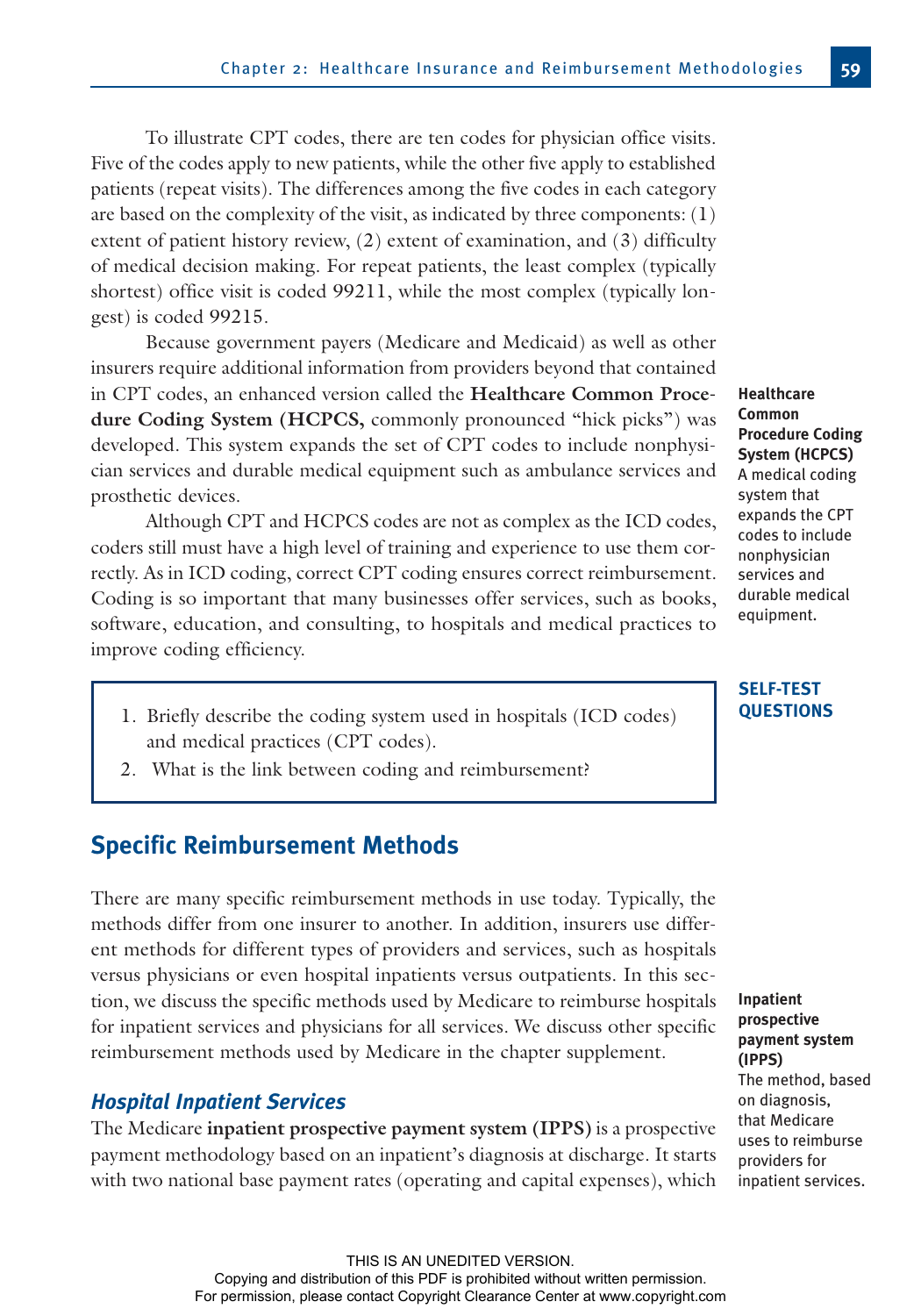To illustrate CPT codes, there are ten codes for physician office visits. Five of the codes apply to new patients, while the other five apply to established patients (repeat visits). The differences among the five codes in each category are based on the complexity of the visit, as indicated by three components: (1) extent of patient history review, (2) extent of examination, and (3) difficulty of medical decision making. For repeat patients, the least complex (typically shortest) office visit is coded 99211, while the most complex (typically longest) is coded 99215.

Because government payers (Medicare and Medicaid) as well as other insurers require additional information from providers beyond that contained in CPT codes, an enhanced version called the **Healthcare Common Procedure Coding System (HCPCS,** commonly pronounced "hick picks") was developed. This system expands the set of CPT codes to include nonphysician services and durable medical equipment such as ambulance services and prosthetic devices.

Although CPT and HCPCS codes are not as complex as the ICD codes, coders still must have a high level of training and experience to use them correctly. As in ICD coding, correct CPT coding ensures correct reimbursement. Coding is so important that many businesses offer services, such as books, software, education, and consulting, to hospitals and medical practices to improve coding efficiency.

- 1. Briefly describe the coding system used in hospitals (ICD codes) and medical practices (CPT codes).
- 2. What is the link between coding and reimbursement?

## **Specific Reimbursement Methods**

There are many specific reimbursement methods in use today. Typically, the methods differ from one insurer to another. In addition, insurers use different methods for different types of providers and services, such as hospitals versus physicians or even hospital inpatients versus outpatients. In this section, we discuss the specific methods used by Medicare to reimburse hospitals for inpatient services and physicians for all services. We discuss other specific reimbursement methods used by Medicare in the chapter supplement.

## *Hospital Inpatient Services*

The Medicare **inpatient prospective payment system (IPPS)** is a prospective payment methodology based on an inpatient's diagnosis at discharge. It starts with two national base payment rates (operating and capital expenses), which **Healthcare Common Procedure Coding System (HCPCS)** A medical coding system that expands the CPT codes to include nonphysician services and durable medical equipment.

### **SELF-TEST QUESTIONS**

**Inpatient prospective payment system (IPPS)** The method, based on diagnosis, that Medicare uses to reimburse providers for inpatient services.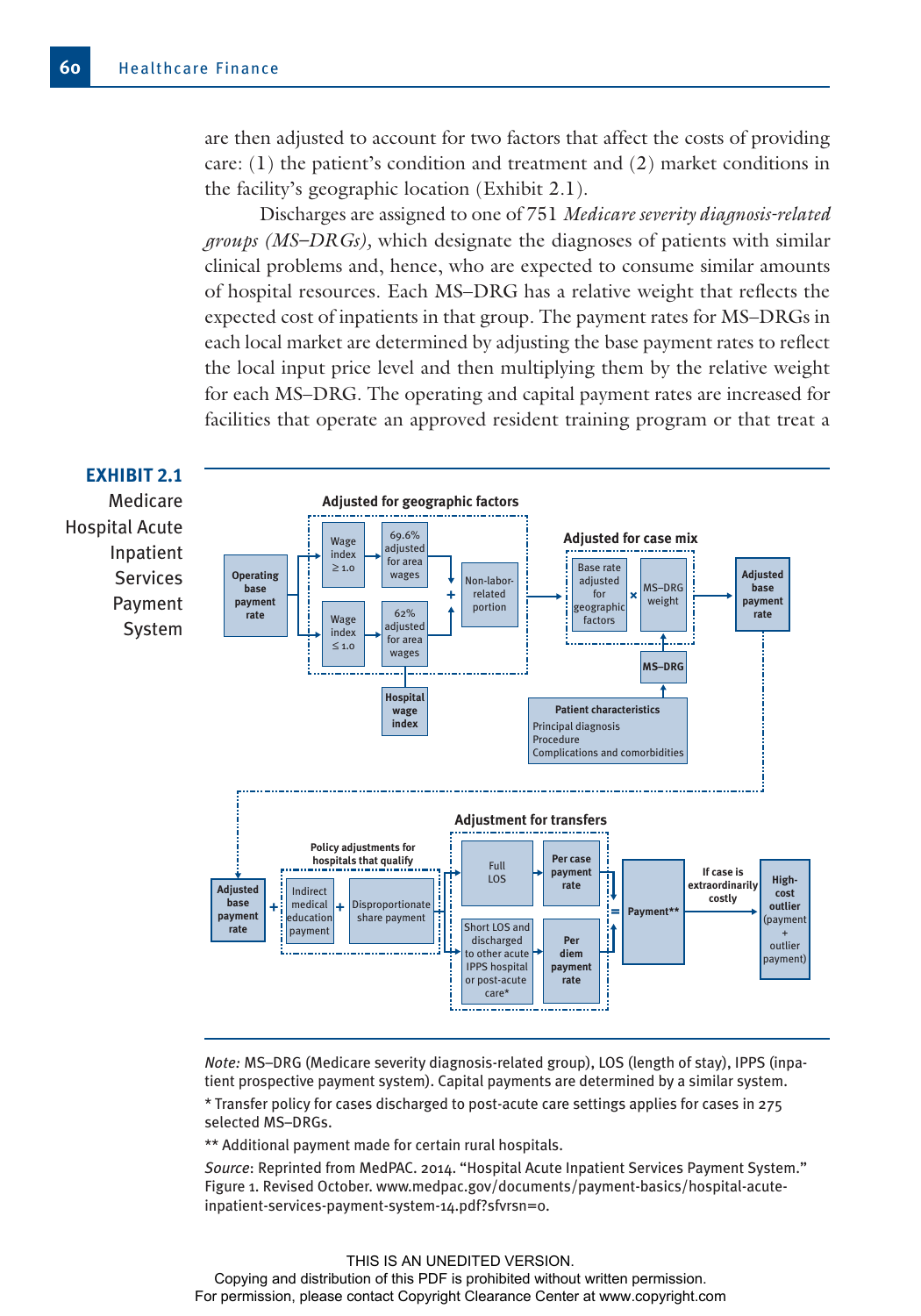are then adjusted to account for two factors that affect the costs of providing care: (1) the patient's condition and treatment and (2) market conditions in the facility's geographic location (Exhibit 2.1).

Discharges are assigned to one of 751 *Medicare severity diagnosis-related groups (MS–DRGs),* which designate the diagnoses of patients with similar clinical problems and, hence, who are expected to consume similar amounts of hospital resources. Each MS–DRG has a relative weight that reflects the expected cost of inpatients in that group. The payment rates for MS–DRGs in each local market are determined by adjusting the base payment rates to reflect the local input price level and then multiplying them by the relative weight for each MS–DRG. The operating and capital payment rates are increased for facilities that operate an approved resident training program or that treat a



*Note:* MS–DRG (Medicare severity diagnosis-related group), LOS (length of stay), IPPS (inpatient prospective payment system). Capital payments are determined by a similar system. \* Transfer policy for cases discharged to post-acute care settings applies for cases in 275 selected MS–DRGs.

\*\* Additional payment made for certain rural hospitals.

*Source*: Reprinted from MedPAC. 2014. "Hospital Acute Inpatient Services Payment System." Figure 1. Revised October. www.medpac.gov/documents/payment-basics/hospital-acuteinpatient-services-payment-system-14.pdf?sfvrsn=0.

#### THIS IS AN UNEDITED VERSION.

Copying and distribution of this PDF is prohibited without written permission. For permission, please contact Copyright Clearance Center at www.copyright.com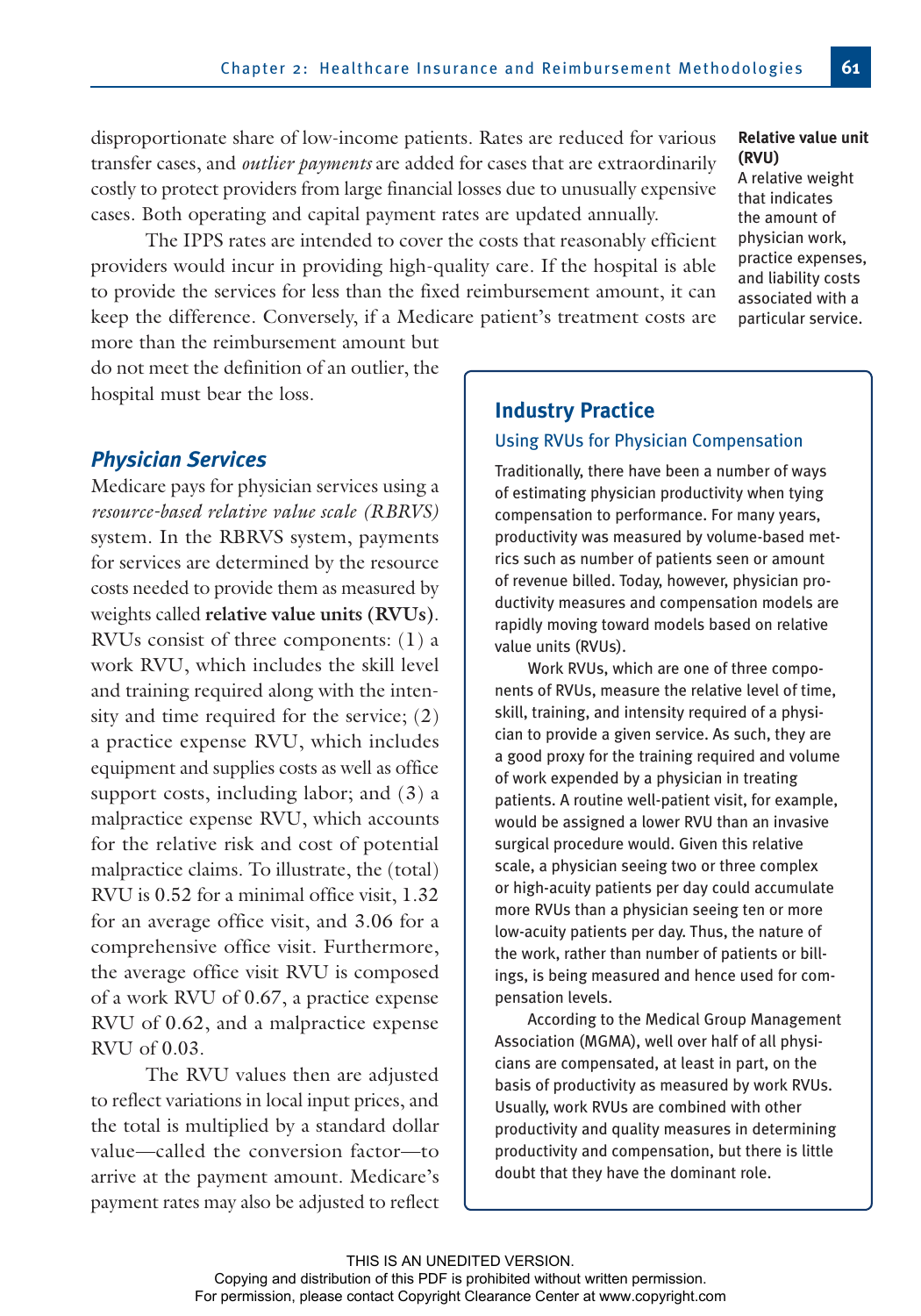disproportionate share of low-income patients. Rates are reduced for various transfer cases, and *outlier payments* are added for cases that are extraordinarily costly to protect providers from large financial losses due to unusually expensive cases. Both operating and capital payment rates are updated annually.

The IPPS rates are intended to cover the costs that reasonably efficient providers would incur in providing high-quality care. If the hospital is able to provide the services for less than the fixed reimbursement amount, it can keep the difference. Conversely, if a Medicare patient's treatment costs are

more than the reimbursement amount but do not meet the definition of an outlier, the hospital must bear the loss.

## *Physician Services*

Medicare pays for physician services using a *resource-based relative value scale (RBRVS)* system. In the RBRVS system, payments for services are determined by the resource costs needed to provide them as measured by weights called **relative value units (RVUs)**. RVUs consist of three components: (1) a work RVU, which includes the skill level and training required along with the intensity and time required for the service; (2) a practice expense RVU, which includes equipment and supplies costs as well as office support costs, including labor; and (3) a malpractice expense RVU, which accounts for the relative risk and cost of potential malpractice claims. To illustrate, the (total) RVU is 0.52 for a minimal office visit, 1.32 for an average office visit, and 3.06 for a comprehensive office visit. Furthermore, the average office visit RVU is composed of a work RVU of 0.67, a practice expense RVU of 0.62, and a malpractice expense RVU of 0.03.

The RVU values then are adjusted to reflect variations in local input prices, and the total is multiplied by a standard dollar value—called the conversion factor—to arrive at the payment amount. Medicare's payment rates may also be adjusted to reflect

## **Industry Practice** Using RVUs for Physician Compensation

Traditionally, there have been a number of ways of estimating physician productivity when tying compensation to performance. For many years, productivity was measured by volume-based metrics such as number of patients seen or amount of revenue billed. Today, however, physician productivity measures and compensation models are rapidly moving toward models based on relative value units (RVUs).

Work RVUs, which are one of three components of RVUs, measure the relative level of time, skill, training, and intensity required of a physician to provide a given service. As such, they are a good proxy for the training required and volume of work expended by a physician in treating patients. A routine well-patient visit, for example, would be assigned a lower RVU than an invasive surgical procedure would. Given this relative scale, a physician seeing two or three complex or high-acuity patients per day could accumulate more RVUs than a physician seeing ten or more low-acuity patients per day. Thus, the nature of the work, rather than number of patients or billings, is being measured and hence used for compensation levels.

According to the Medical Group Management Association (MGMA), well over half of all physicians are compensated, at least in part, on the basis of productivity as measured by work RVUs. Usually, work RVUs are combined with other productivity and quality measures in determining productivity and compensation, but there is little doubt that they have the dominant role.

#### **Relative value unit (RVU)**

A relative weight that indicates the amount of physician work, practice expenses, and liability costs associated with a particular service.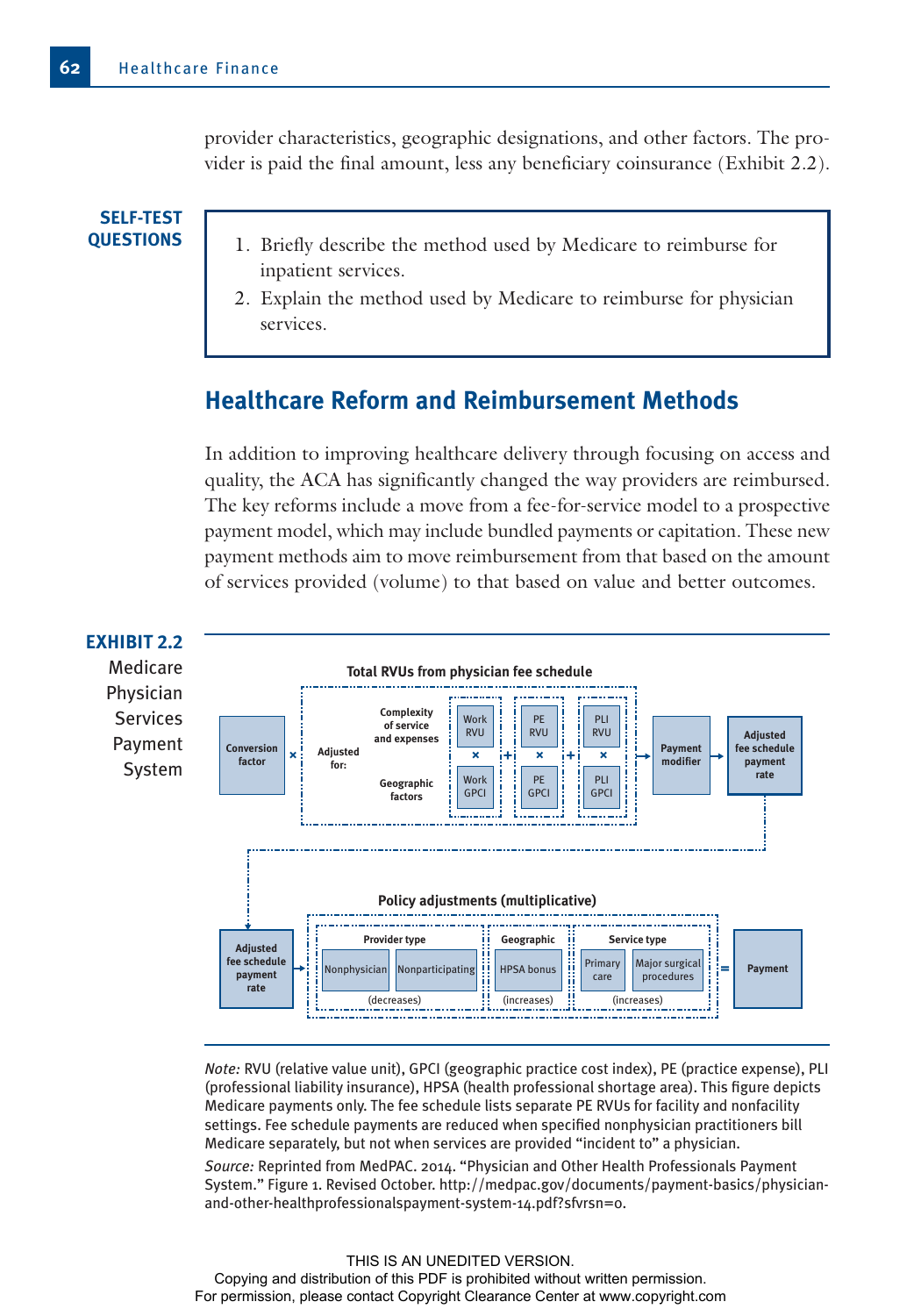provider characteristics, geographic designations, and other factors. The provider is paid the final amount, less any beneficiary coinsurance (Exhibit 2.2).

#### **SELF-TEST QUESTIONS**

- 1. Briefly describe the method used by Medicare to reimburse for inpatient services.
- 2. Explain the method used by Medicare to reimburse for physician services.

## **Healthcare Reform and Reimbursement Methods**

In addition to improving healthcare delivery through focusing on access and quality, the ACA has significantly changed the way providers are reimbursed. The key reforms include a move from a fee-for-service model to a prospective payment model, which may include bundled payments or capitation. These new payment methods aim to move reimbursement from that based on the amount of services provided (volume) to that based on value and better outcomes.



*Note:* RVU (relative value unit), GPCI (geographic practice cost index), PE (practice expense), PLI (professional liability insurance), HPSA (health professional shortage area). This figure depicts Medicare payments only. The fee schedule lists separate PE RVUs for facility and nonfacility settings. Fee schedule payments are reduced when specified nonphysician practitioners bill Medicare separately, but not when services are provided "incident to" a physician.

*Source:* Reprinted from MedPAC. 2014. "Physician and Other Health Professionals Payment System." Figure 1. Revised October. http://medpac.gov/documents/payment-basics/physicianand-other-healthprofessionalspayment-system-14.pdf?sfvrsn=0.

THIS IS AN UNEDITED VERSION. Copying and distribution of this PDF is prohibited without written permission. For permission, please contact Copyright Clearance Center at www.copyright.com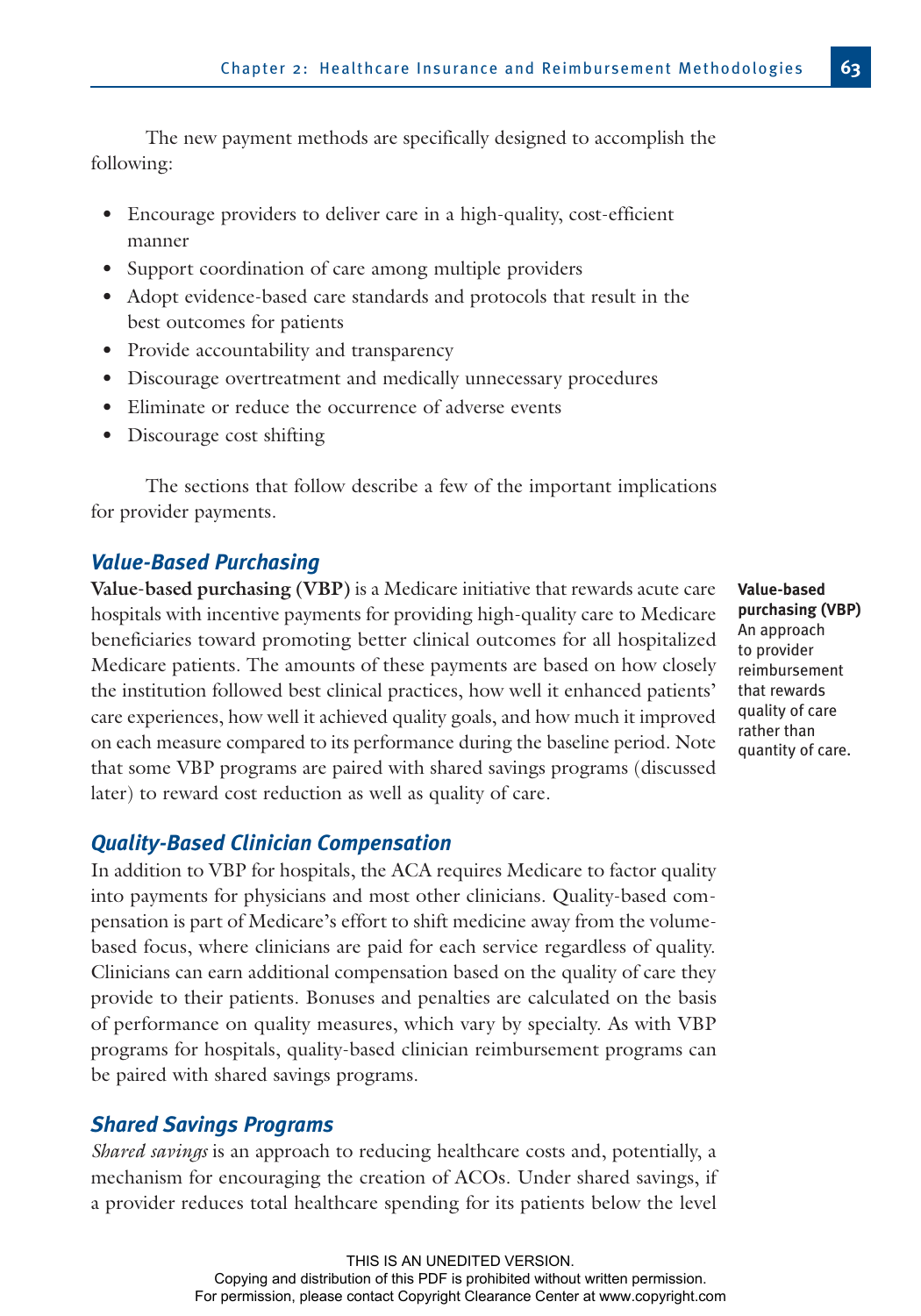The new payment methods are specifically designed to accomplish the following:

- Encourage providers to deliver care in a high-quality, cost-efficient manner
- Support coordination of care among multiple providers
- Adopt evidence-based care standards and protocols that result in the best outcomes for patients
- Provide accountability and transparency
- Discourage overtreatment and medically unnecessary procedures
- Eliminate or reduce the occurrence of adverse events
- Discourage cost shifting

The sections that follow describe a few of the important implications for provider payments.

## *Value-Based Purchasing*

**Value-based purchasing (VBP)** is a Medicare initiative that rewards acute care hospitals with incentive payments for providing high-quality care to Medicare beneficiaries toward promoting better clinical outcomes for all hospitalized Medicare patients. The amounts of these payments are based on how closely the institution followed best clinical practices, how well it enhanced patients' care experiences, how well it achieved quality goals, and how much it improved on each measure compared to its performance during the baseline period. Note that some VBP programs are paired with shared savings programs (discussed later) to reward cost reduction as well as quality of care.

*Quality-Based Clinician Compensation*

In addition to VBP for hospitals, the ACA requires Medicare to factor quality into payments for physicians and most other clinicians. Quality-based compensation is part of Medicare's effort to shift medicine away from the volumebased focus, where clinicians are paid for each service regardless of quality. Clinicians can earn additional compensation based on the quality of care they provide to their patients. Bonuses and penalties are calculated on the basis of performance on quality measures, which vary by specialty. As with VBP programs for hospitals, quality-based clinician reimbursement programs can be paired with shared savings programs.

## *Shared Savings Programs*

*Shared savings* is an approach to reducing healthcare costs and, potentially, a mechanism for encouraging the creation of ACOs. Under shared savings, if a provider reduces total healthcare spending for its patients below the level

> THIS IS AN UNEDITED VERSION. Copying and distribution of this PDF is prohibited without written permission. For permission, please contact Copyright Clearance Center at www.copyright.com

**Value-based purchasing (VBP)** An approach to provider reimbursement that rewards quality of care rather than quantity of care.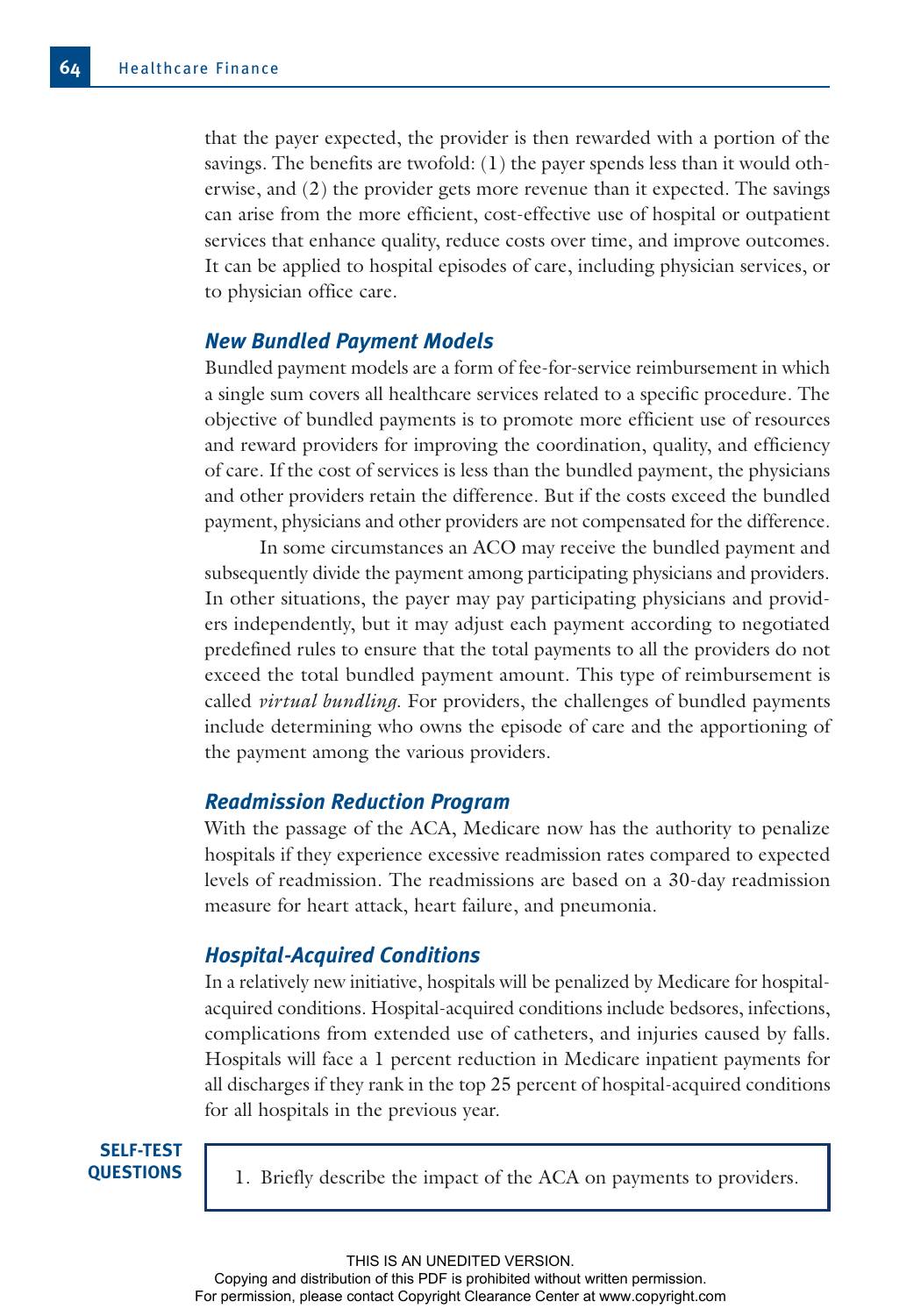that the payer expected, the provider is then rewarded with a portion of the savings. The benefits are twofold: (1) the payer spends less than it would otherwise, and (2) the provider gets more revenue than it expected. The savings can arise from the more efficient, cost-effective use of hospital or outpatient services that enhance quality, reduce costs over time, and improve outcomes. It can be applied to hospital episodes of care, including physician services, or to physician office care.

#### *New Bundled Payment Models*

Bundled payment models are a form of fee-for-service reimbursement in which a single sum covers all healthcare services related to a specific procedure. The objective of bundled payments is to promote more efficient use of resources and reward providers for improving the coordination, quality, and efficiency of care. If the cost of services is less than the bundled payment, the physicians and other providers retain the difference. But if the costs exceed the bundled payment, physicians and other providers are not compensated for the difference.

In some circumstances an ACO may receive the bundled payment and subsequently divide the payment among participating physicians and providers. In other situations, the payer may pay participating physicians and providers independently, but it may adjust each payment according to negotiated predefined rules to ensure that the total payments to all the providers do not exceed the total bundled payment amount. This type of reimbursement is called *virtual bundling*. For providers, the challenges of bundled payments include determining who owns the episode of care and the apportioning of the payment among the various providers.

## *Readmission Reduction Program*

With the passage of the ACA, Medicare now has the authority to penalize hospitals if they experience excessive readmission rates compared to expected levels of readmission. The readmissions are based on a 30-day readmission measure for heart attack, heart failure, and pneumonia.

#### *Hospital-Acquired Conditions*

In a relatively new initiative, hospitals will be penalized by Medicare for hospitalacquired conditions. Hospital-acquired conditions include bedsores, infections, complications from extended use of catheters, and injuries caused by falls. Hospitals will face a 1 percent reduction in Medicare inpatient payments for all discharges if they rank in the top 25 percent of hospital-acquired conditions for all hospitals in the previous year.

**SELF-TEST QUESTIONS**

1. Briefly describe the impact of the ACA on payments to providers.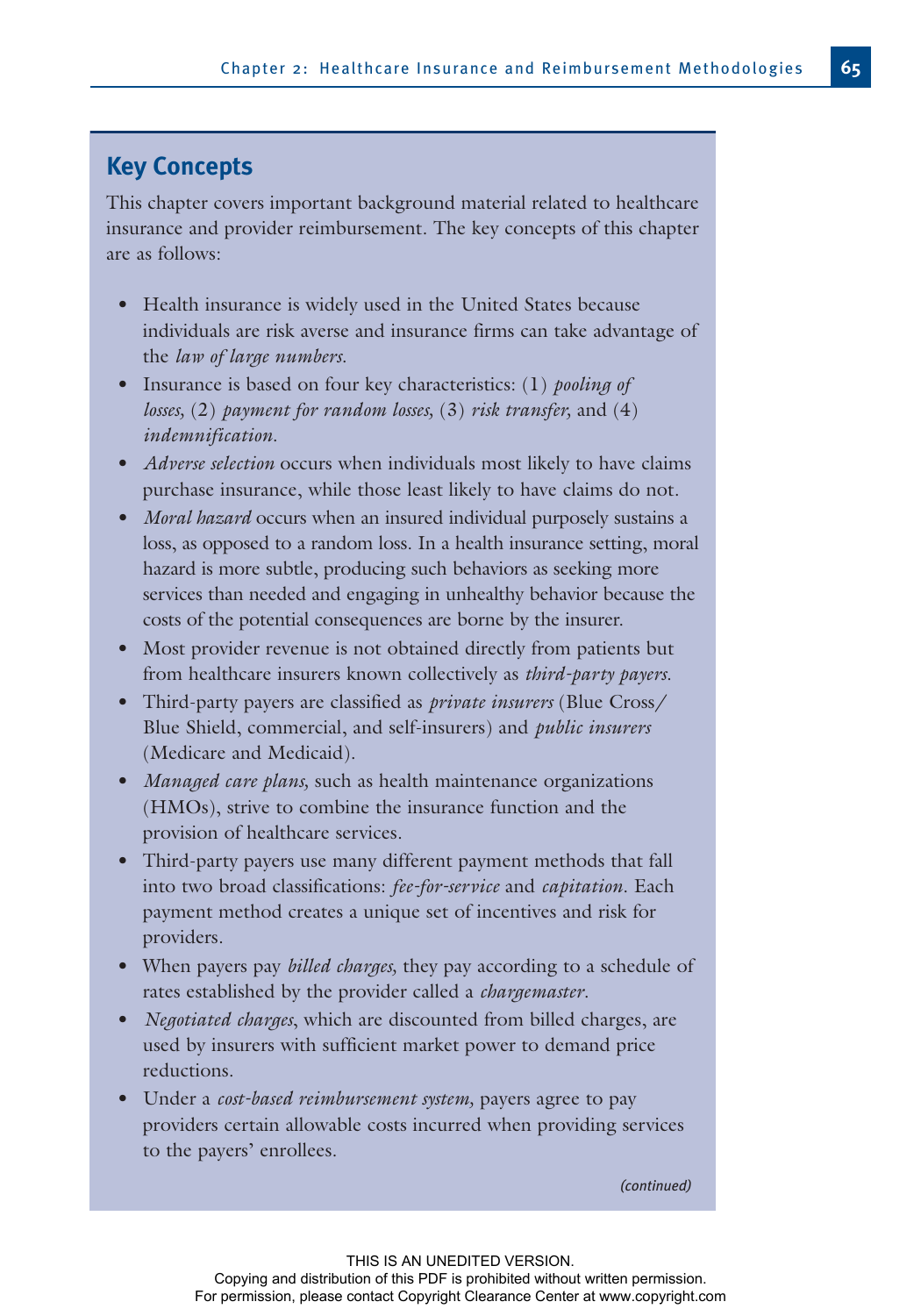## **Key Concepts**

This chapter covers important background material related to healthcare insurance and provider reimbursement. The key concepts of this chapter are as follows:

- Health insurance is widely used in the United States because individuals are risk averse and insurance firms can take advantage of the *law of large numbers*.
- Insurance is based on four key characteristics: (1) *pooling of losses,* (2) *payment for random losses,* (3) *risk transfer,* and (4) *indemnification*.
- *Adverse selection* occurs when individuals most likely to have claims purchase insurance, while those least likely to have claims do not.
- *Moral hazard* occurs when an insured individual purposely sustains a loss, as opposed to a random loss. In a health insurance setting, moral hazard is more subtle, producing such behaviors as seeking more services than needed and engaging in unhealthy behavior because the costs of the potential consequences are borne by the insurer.
- Most provider revenue is not obtained directly from patients but from healthcare insurers known collectively as *third-party payers*.
- Third-party payers are classified as *private insurers* (Blue Cross/ Blue Shield, commercial, and self-insurers) and *public insurers* (Medicare and Medicaid).
- *Managed care plans,* such as health maintenance organizations (HMOs), strive to combine the insurance function and the provision of healthcare services.
- Third-party payers use many different payment methods that fall into two broad classifications: *fee-for-service* and *capitation*. Each payment method creates a unique set of incentives and risk for providers.
- When payers pay *billed charges,* they pay according to a schedule of rates established by the provider called a *chargemaster*.
- *Negotiated charges*, which are discounted from billed charges, are used by insurers with sufficient market power to demand price reductions.
- Under a *cost-based reimbursement system,* payers agree to pay providers certain allowable costs incurred when providing services to the payers' enrollees.

*(continued)*

#### THIS IS AN UNEDITED VERSION.

Copying and distribution of this PDF is prohibited without written permission. For permission, please contact Copyright Clearance Center at www.copyright.com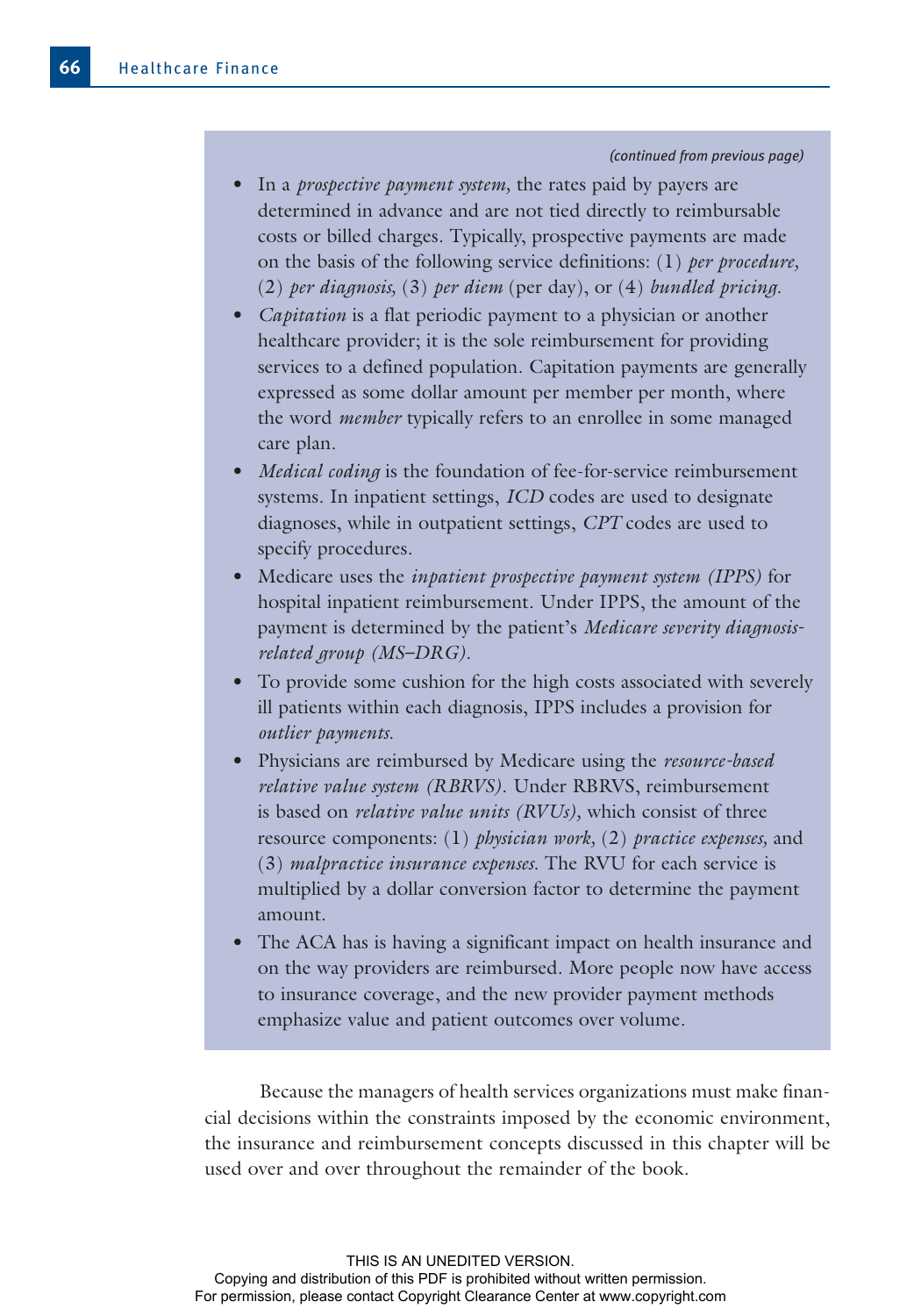#### *(continued from previous page)*

- In a *prospective payment system,* the rates paid by payers are determined in advance and are not tied directly to reimbursable costs or billed charges. Typically, prospective payments are made on the basis of the following service definitions: (1) *per procedure,* (2) *per diagnosis,* (3) *per diem* (per day), or (4) *bundled pricing*.
- *Capitation* is a flat periodic payment to a physician or another healthcare provider; it is the sole reimbursement for providing services to a defined population. Capitation payments are generally expressed as some dollar amount per member per month, where the word *member* typically refers to an enrollee in some managed care plan.
- *Medical coding* is the foundation of fee-for-service reimbursement systems. In inpatient settings, *ICD* codes are used to designate diagnoses, while in outpatient settings, *CPT* codes are used to specify procedures.
- Medicare uses the *inpatient prospective payment system (IPPS)* for hospital inpatient reimbursement. Under IPPS, the amount of the payment is determined by the patient's *Medicare severity diagnosisrelated group (MS–DRG)*.
- To provide some cushion for the high costs associated with severely ill patients within each diagnosis, IPPS includes a provision for *outlier payments*.
- Physicians are reimbursed by Medicare using the *resource-based relative value system (RBRVS)*. Under RBRVS, reimbursement is based on *relative value units (RVUs),* which consist of three resource components: (1) *physician work,* (2) *practice expenses,* and (3) *malpractice insurance expenses*. The RVU for each service is multiplied by a dollar conversion factor to determine the payment amount.
- The ACA has is having a significant impact on health insurance and on the way providers are reimbursed. More people now have access to insurance coverage, and the new provider payment methods emphasize value and patient outcomes over volume.

Because the managers of health services organizations must make financial decisions within the constraints imposed by the economic environment, the insurance and reimbursement concepts discussed in this chapter will be used over and over throughout the remainder of the book.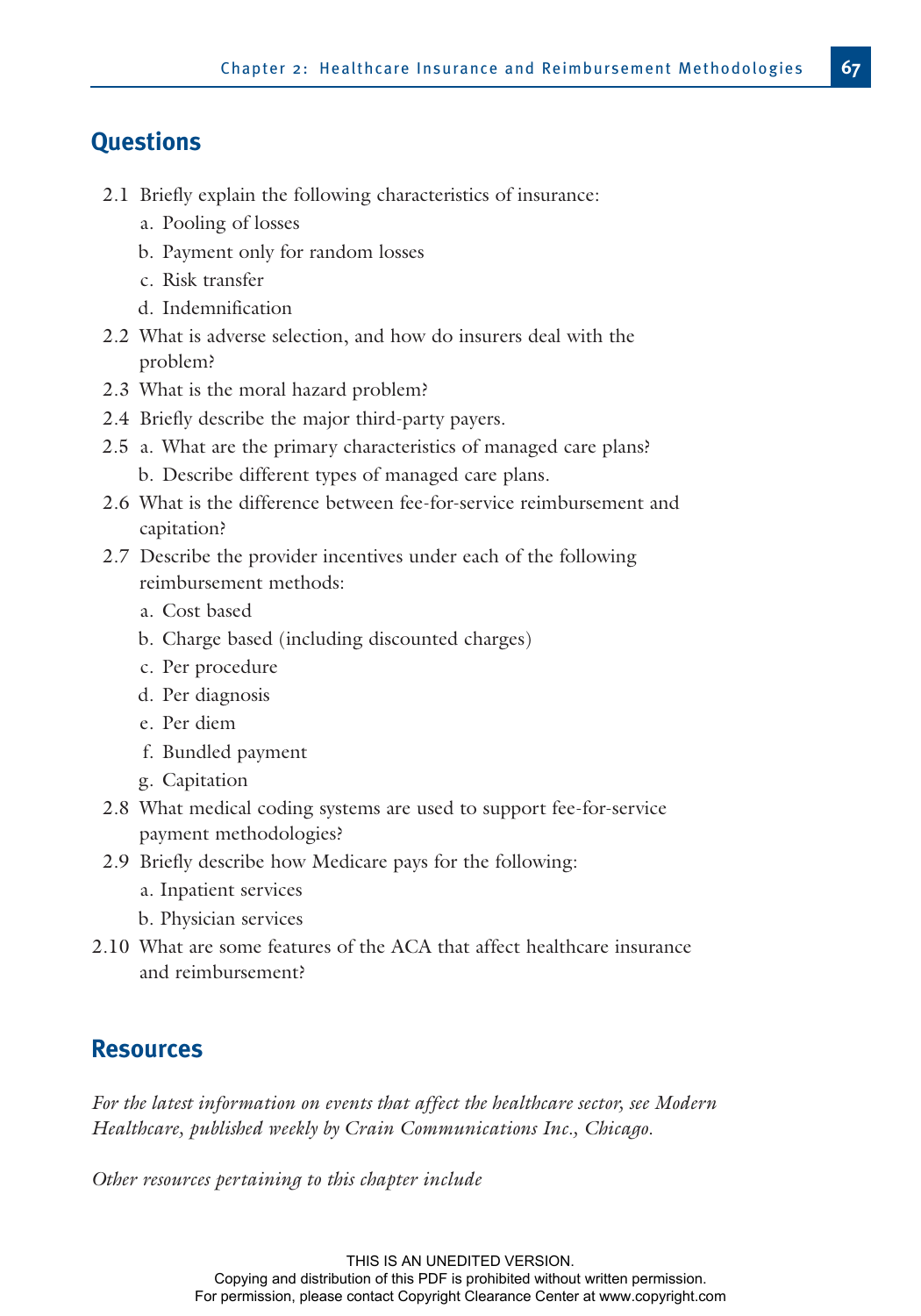## **Questions**

- 2.1 Briefly explain the following characteristics of insurance:
	- a. Pooling of losses
	- b. Payment only for random losses
	- c. Risk transfer
	- d. Indemnification
- 2.2 What is adverse selection, and how do insurers deal with the problem?
- 2.3 What is the moral hazard problem?
- 2.4 Briefly describe the major third-party payers.
- 2.5 a. What are the primary characteristics of managed care plans?
	- b. Describe different types of managed care plans.
- 2.6 What is the difference between fee-for-service reimbursement and capitation?
- 2.7 Describe the provider incentives under each of the following reimbursement methods:
	- a. Cost based
	- b. Charge based (including discounted charges)
	- c. Per procedure
	- d. Per diagnosis
	- e. Per diem
	- f. Bundled payment
	- g. Capitation
- 2.8 What medical coding systems are used to support fee-for-service payment methodologies?
- 2.9 Briefly describe how Medicare pays for the following:
	- a. Inpatient services
	- b. Physician services
- 2.10 What are some features of the ACA that affect healthcare insurance and reimbursement?

## **Resources**

*For the latest information on events that affect the healthcare sector, see Modern Healthcare, published weekly by Crain Communications Inc., Chicago.*

*Other resources pertaining to this chapter include*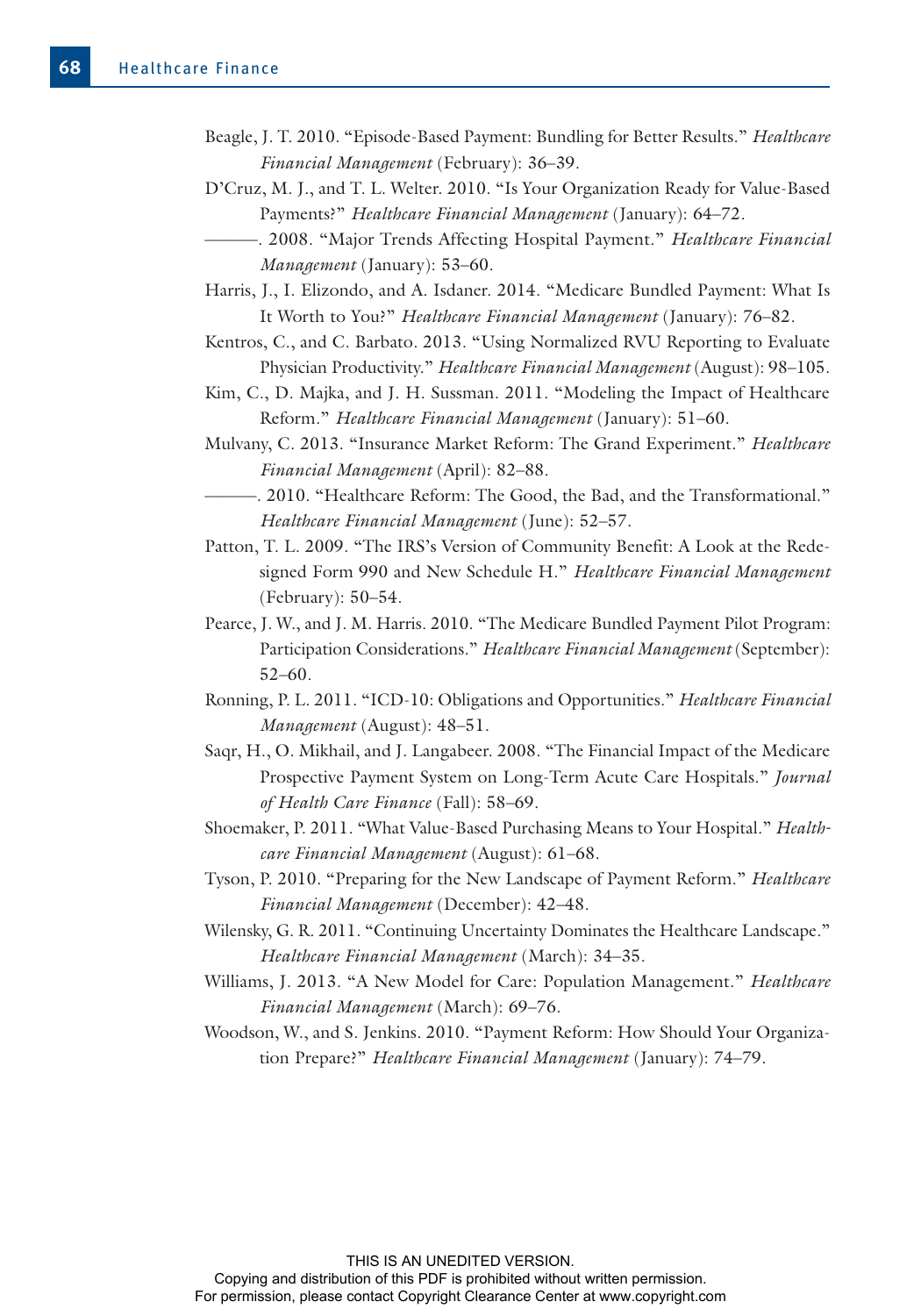- Beagle, J. T. 2010. "Episode-Based Payment: Bundling for Better Results." *Healthcare Financial Management* (February): 36–39.
- D'Cruz, M. J., and T. L. Welter. 2010. "Is Your Organization Ready for Value-Based Payments?" *Healthcare Financial Management* (January): 64–72.
- ———. 2008. "Major Trends Affecting Hospital Payment." *Healthcare Financial Management* (January): 53–60.
- Harris, J., I. Elizondo, and A. Isdaner. 2014. "Medicare Bundled Payment: What Is It Worth to You?" *Healthcare Financial Management* (January): 76–82.
- Kentros, C., and C. Barbato. 2013. "Using Normalized RVU Reporting to Evaluate Physician Productivity." *Healthcare Financial Management* (August): 98–105.
- Kim, C., D. Majka, and J. H. Sussman. 2011. "Modeling the Impact of Healthcare Reform." *Healthcare Financial Management* (January): 51–60.
- Mulvany, C. 2013. "Insurance Market Reform: The Grand Experiment." *Healthcare Financial Management* (April): 82–88.
- ———. 2010. "Healthcare Reform: The Good, the Bad, and the Transformational." *Healthcare Financial Management* (June): 52–57.
- Patton, T. L. 2009. "The IRS's Version of Community Benefit: A Look at the Redesigned Form 990 and New Schedule H." *Healthcare Financial Management*  (February): 50–54.
- Pearce, J. W., and J. M. Harris. 2010. "The Medicare Bundled Payment Pilot Program: Participation Considerations." *Healthcare Financial Management* (September): 52–60.
- Ronning, P. L. 2011. "ICD-10: Obligations and Opportunities." *Healthcare Financial Management* (August): 48–51.
- Saqr, H., O. Mikhail, and J. Langabeer. 2008. "The Financial Impact of the Medicare Prospective Payment System on Long-Term Acute Care Hospitals." *Journal of Health Care Finance* (Fall): 58–69.
- Shoemaker, P. 2011. "What Value-Based Purchasing Means to Your Hospital." *Healthcare Financial Management* (August): 61–68.
- Tyson, P. 2010. "Preparing for the New Landscape of Payment Reform." *Healthcare Financial Management* (December): 42–48.
- Wilensky, G. R. 2011. "Continuing Uncertainty Dominates the Healthcare Landscape." *Healthcare Financial Management* (March): 34–35.
- Williams, J. 2013. "A New Model for Care: Population Management." *Healthcare Financial Management* (March): 69–76.
- Woodson, W., and S. Jenkins. 2010. "Payment Reform: How Should Your Organization Prepare?" *Healthcare Financial Management* (January): 74–79.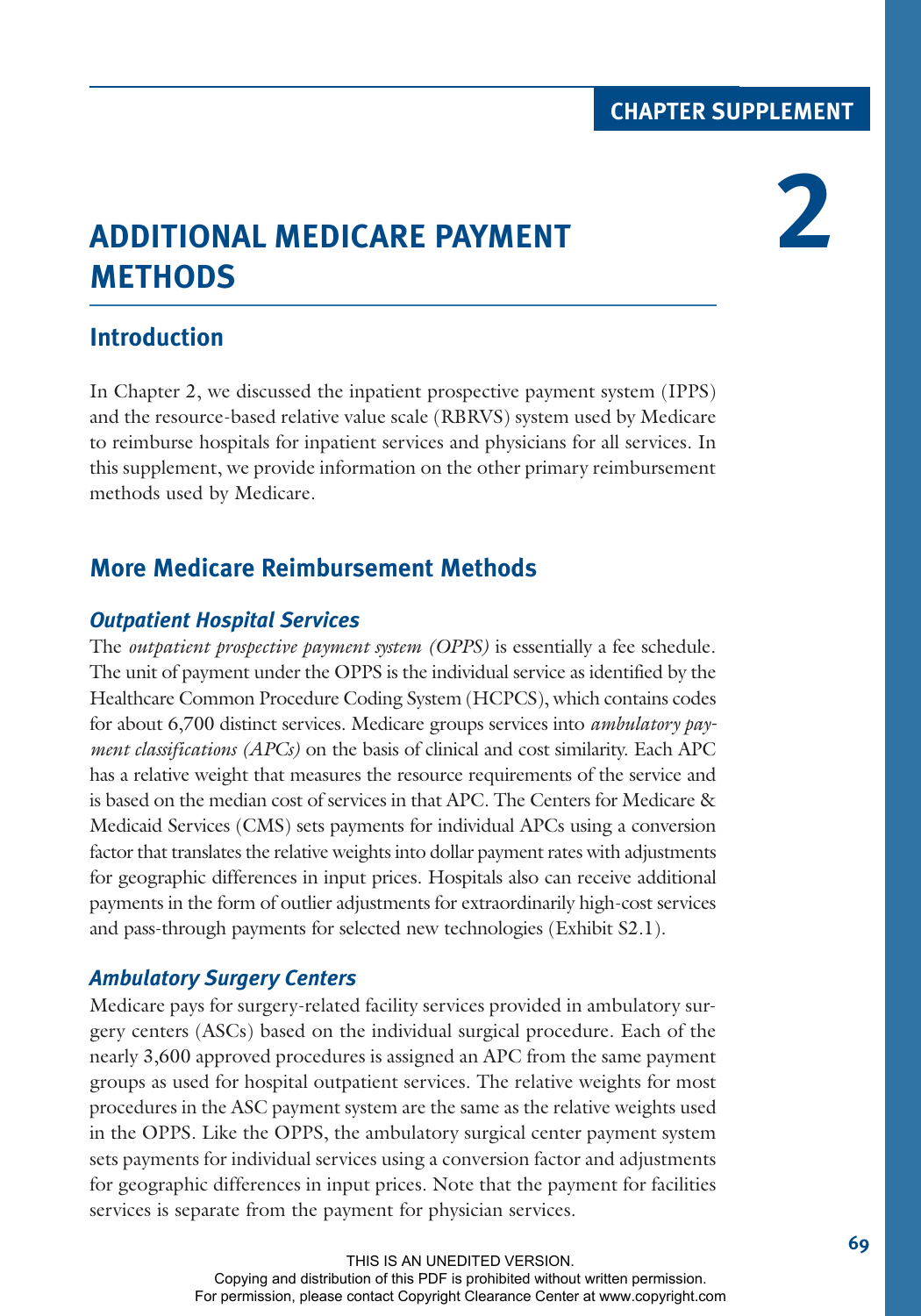## **CHAPTER SUPPLEMENT**

# **ADDITIONAL MEDICARE PAYMENT 2 METHODS**

## **Introduction**

In Chapter 2, we discussed the inpatient prospective payment system (IPPS) and the resource-based relative value scale (RBRVS) system used by Medicare to reimburse hospitals for inpatient services and physicians for all services. In this supplement, we provide information on the other primary reimbursement methods used by Medicare.

## **More Medicare Reimbursement Methods**

## *Outpatient Hospital Services*

The *outpatient prospective payment system (OPPS)* is essentially a fee schedule. The unit of payment under the OPPS is the individual service as identified by the Healthcare Common Procedure Coding System (HCPCS), which contains codes for about 6,700 distinct services. Medicare groups services into *ambulatory payment classifications (APCs)* on the basis of clinical and cost similarity. Each APC has a relative weight that measures the resource requirements of the service and is based on the median cost of services in that APC. The Centers for Medicare & Medicaid Services (CMS) sets payments for individual APCs using a conversion factor that translates the relative weights into dollar payment rates with adjustments for geographic differences in input prices. Hospitals also can receive additional payments in the form of outlier adjustments for extraordinarily high-cost services and pass-through payments for selected new technologies (Exhibit S2.1).

## *Ambulatory Surgery Centers*

Medicare pays for surgery-related facility services provided in ambulatory surgery centers (ASCs) based on the individual surgical procedure. Each of the nearly 3,600 approved procedures is assigned an APC from the same payment groups as used for hospital outpatient services. The relative weights for most procedures in the ASC payment system are the same as the relative weights used in the OPPS. Like the OPPS, the ambulatory surgical center payment system sets payments for individual services using a conversion factor and adjustments for geographic differences in input prices. Note that the payment for facilities services is separate from the payment for physician services.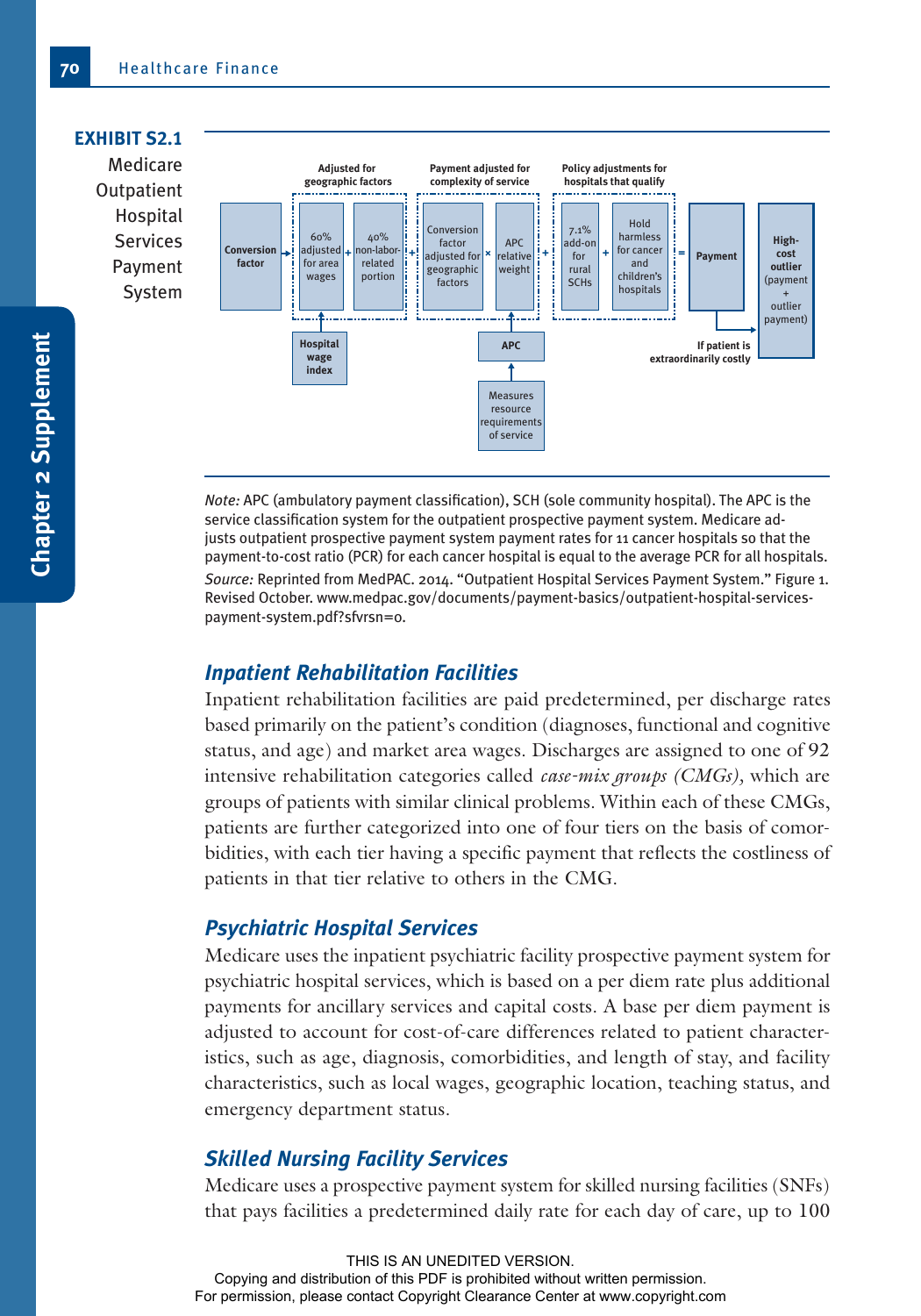

*Note:* APC (ambulatory payment classification), SCH (sole community hospital). The APC is the service classification system for the outpatient prospective payment system. Medicare adjusts outpatient prospective payment system payment rates for 11 cancer hospitals so that the payment-to-cost ratio (PCR) for each cancer hospital is equal to the average PCR for all hospitals. *Source:* Reprinted from MedPAC. 2014. "Outpatient Hospital Services Payment System." Figure 1. Revised October. www.medpac.gov/documents/payment-basics/outpatient-hospital-servicespayment-system.pdf?sfvrsn=0.

## *Inpatient Rehabilitation Facilities*

Inpatient rehabilitation facilities are paid predetermined, per discharge rates based primarily on the patient's condition (diagnoses, functional and cognitive status, and age) and market area wages. Discharges are assigned to one of 92 intensive rehabilitation categories called *case-mix groups (CMGs),* which are groups of patients with similar clinical problems. Within each of these CMGs, patients are further categorized into one of four tiers on the basis of comorbidities, with each tier having a specific payment that reflects the costliness of patients in that tier relative to others in the CMG.

## *Psychiatric Hospital Services*

Medicare uses the inpatient psychiatric facility prospective payment system for psychiatric hospital services, which is based on a per diem rate plus additional payments for ancillary services and capital costs. A base per diem payment is adjusted to account for cost-of-care differences related to patient characteristics, such as age, diagnosis, comorbidities, and length of stay, and facility characteristics, such as local wages, geographic location, teaching status, and emergency department status.

## *Skilled Nursing Facility Services*

Medicare uses a prospective payment system for skilled nursing facilities (SNFs) that pays facilities a predetermined daily rate for each day of care, up to 100

THIS IS AN UNEDITED VERSION. Copying and distribution of this PDF is prohibited without written permission. For permission, please contact Copyright Clearance Center at www.copyright.com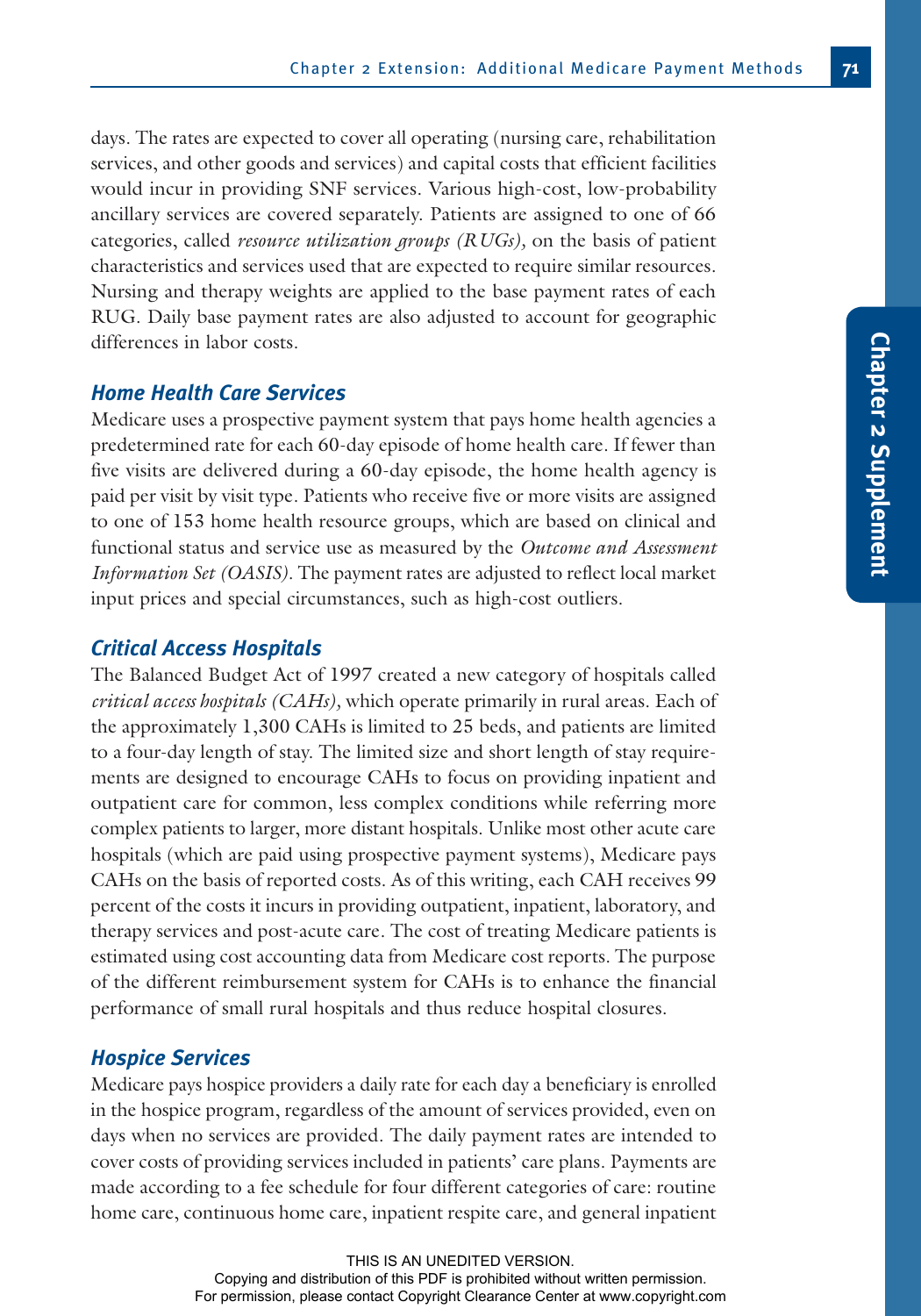days. The rates are expected to cover all operating (nursing care, rehabilitation services, and other goods and services) and capital costs that efficient facilities would incur in providing SNF services. Various high-cost, low-probability ancillary services are covered separately. Patients are assigned to one of 66 categories, called *resource utilization groups (RUGs),* on the basis of patient characteristics and services used that are expected to require similar resources. Nursing and therapy weights are applied to the base payment rates of each RUG. Daily base payment rates are also adjusted to account for geographic differences in labor costs.

## *Home Health Care Services*

Medicare uses a prospective payment system that pays home health agencies a predetermined rate for each 60-day episode of home health care. If fewer than five visits are delivered during a 60-day episode, the home health agency is paid per visit by visit type. Patients who receive five or more visits are assigned to one of 153 home health resource groups, which are based on clinical and functional status and service use as measured by the *Outcome and Assessment Information Set (OASIS)*. The payment rates are adjusted to reflect local market input prices and special circumstances, such as high-cost outliers.

## *Critical Access Hospitals*

The Balanced Budget Act of 1997 created a new category of hospitals called *critical access hospitals (CAHs),* which operate primarily in rural areas. Each of the approximately 1,300 CAHs is limited to 25 beds, and patients are limited to a four-day length of stay. The limited size and short length of stay requirements are designed to encourage CAHs to focus on providing inpatient and outpatient care for common, less complex conditions while referring more complex patients to larger, more distant hospitals. Unlike most other acute care hospitals (which are paid using prospective payment systems), Medicare pays CAHs on the basis of reported costs. As of this writing, each CAH receives 99 percent of the costs it incurs in providing outpatient, inpatient, laboratory, and therapy services and post-acute care. The cost of treating Medicare patients is estimated using cost accounting data from Medicare cost reports. The purpose of the different reimbursement system for CAHs is to enhance the financial performance of small rural hospitals and thus reduce hospital closures.

## *Hospice Services*

Medicare pays hospice providers a daily rate for each day a beneficiary is enrolled in the hospice program, regardless of the amount of services provided, even on days when no services are provided. The daily payment rates are intended to cover costs of providing services included in patients' care plans. Payments are made according to a fee schedule for four different categories of care: routine home care, continuous home care, inpatient respite care, and general inpatient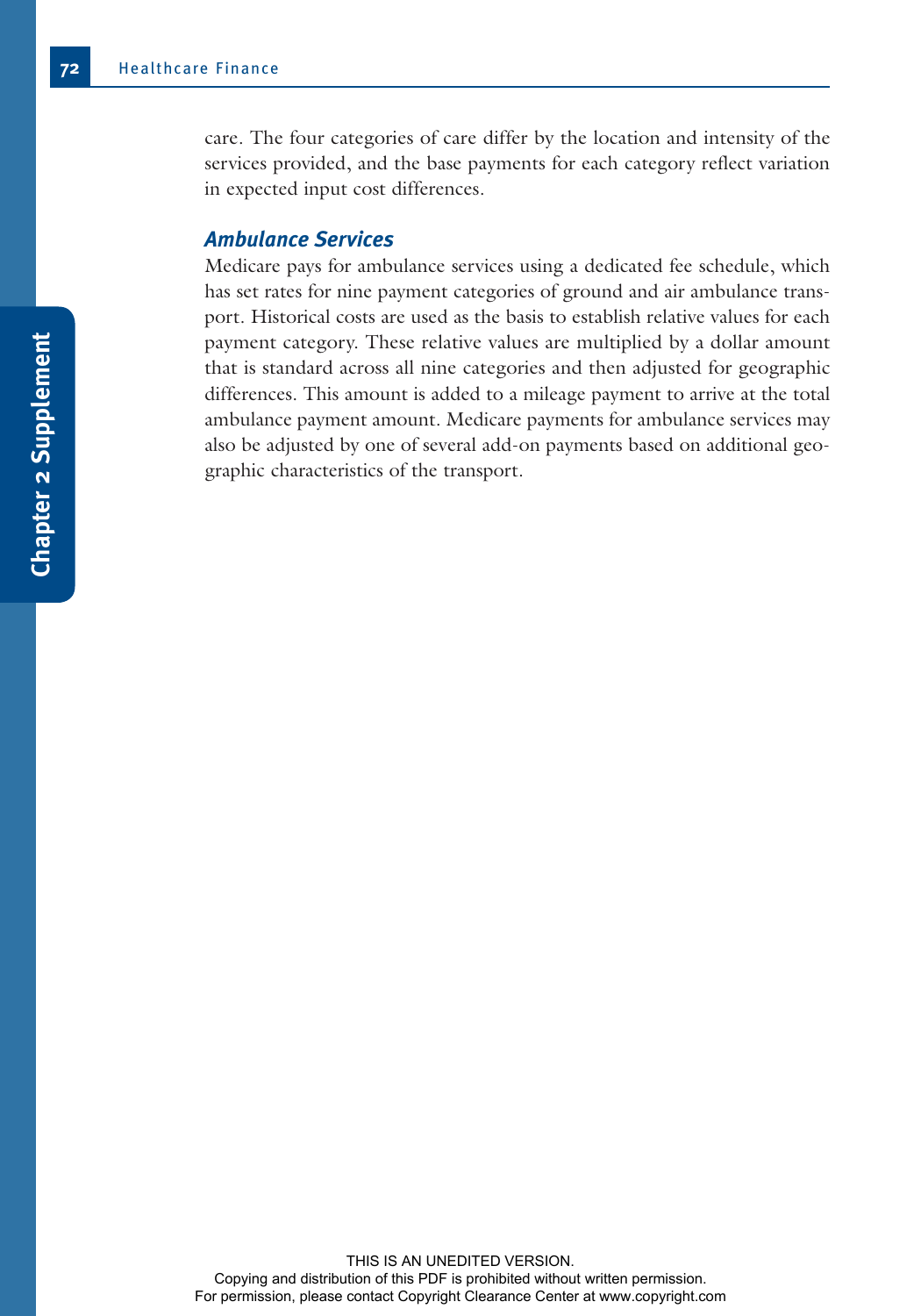care. The four categories of care differ by the location and intensity of the services provided, and the base payments for each category reflect variation in expected input cost differences.

## *Ambulance Services*

Medicare pays for ambulance services using a dedicated fee schedule, which has set rates for nine payment categories of ground and air ambulance transport. Historical costs are used as the basis to establish relative values for each payment category. These relative values are multiplied by a dollar amount that is standard across all nine categories and then adjusted for geographic differences. This amount is added to a mileage payment to arrive at the total ambulance payment amount. Medicare payments for ambulance services may also be adjusted by one of several add-on payments based on additional geographic characteristics of the transport.